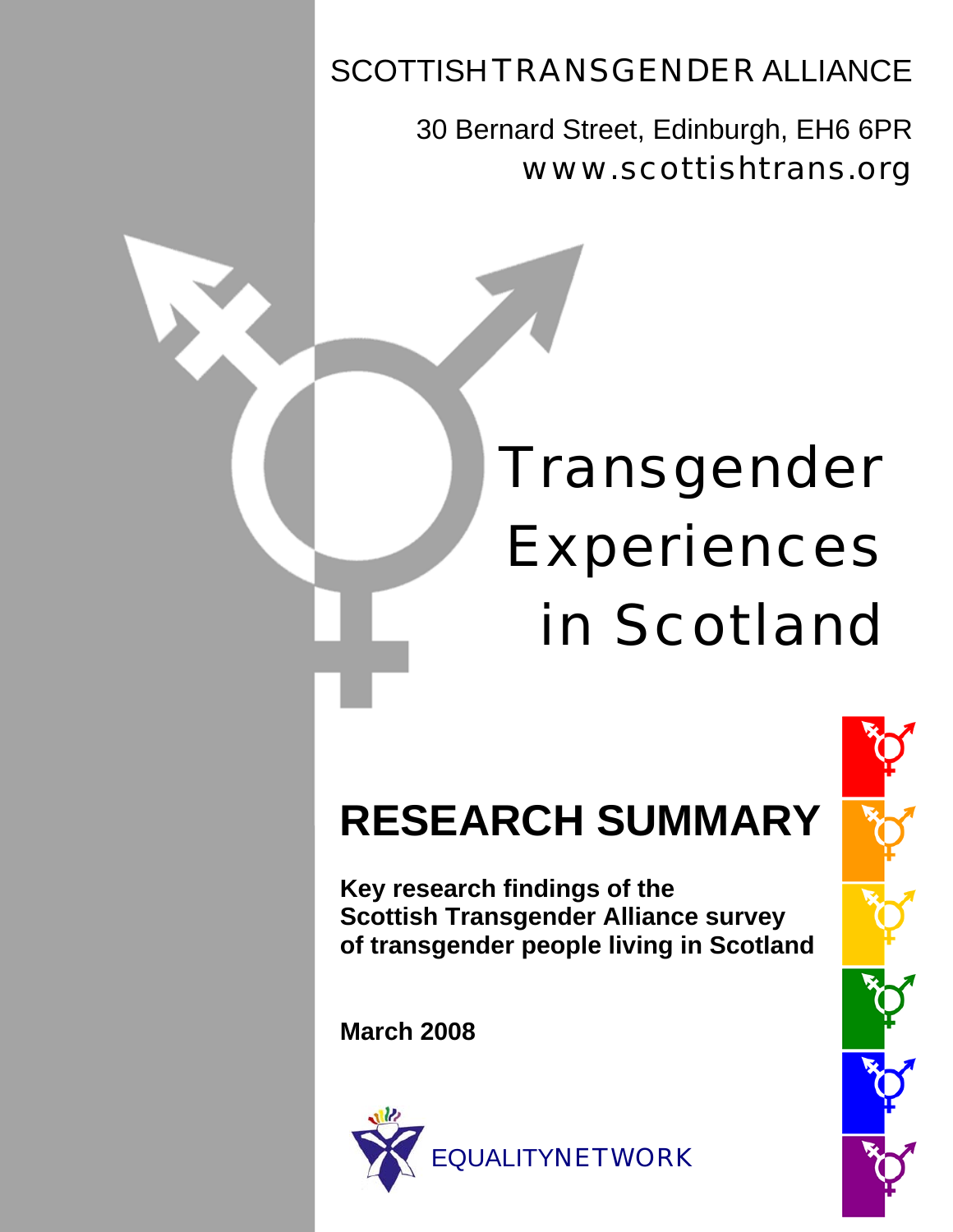# SCOTTISH TRANSGENDER ALLIANCE

30 Bernard Street, Edinburgh, EH6 6PR www.scottishtrans.org

# Transgender Experiences in Scotland

# **RESEARCH SUMMARY**

 **Key research findings of the Scottish Transgender Alliance survey of transgender people living in Scotland** 

 **March 2008** 



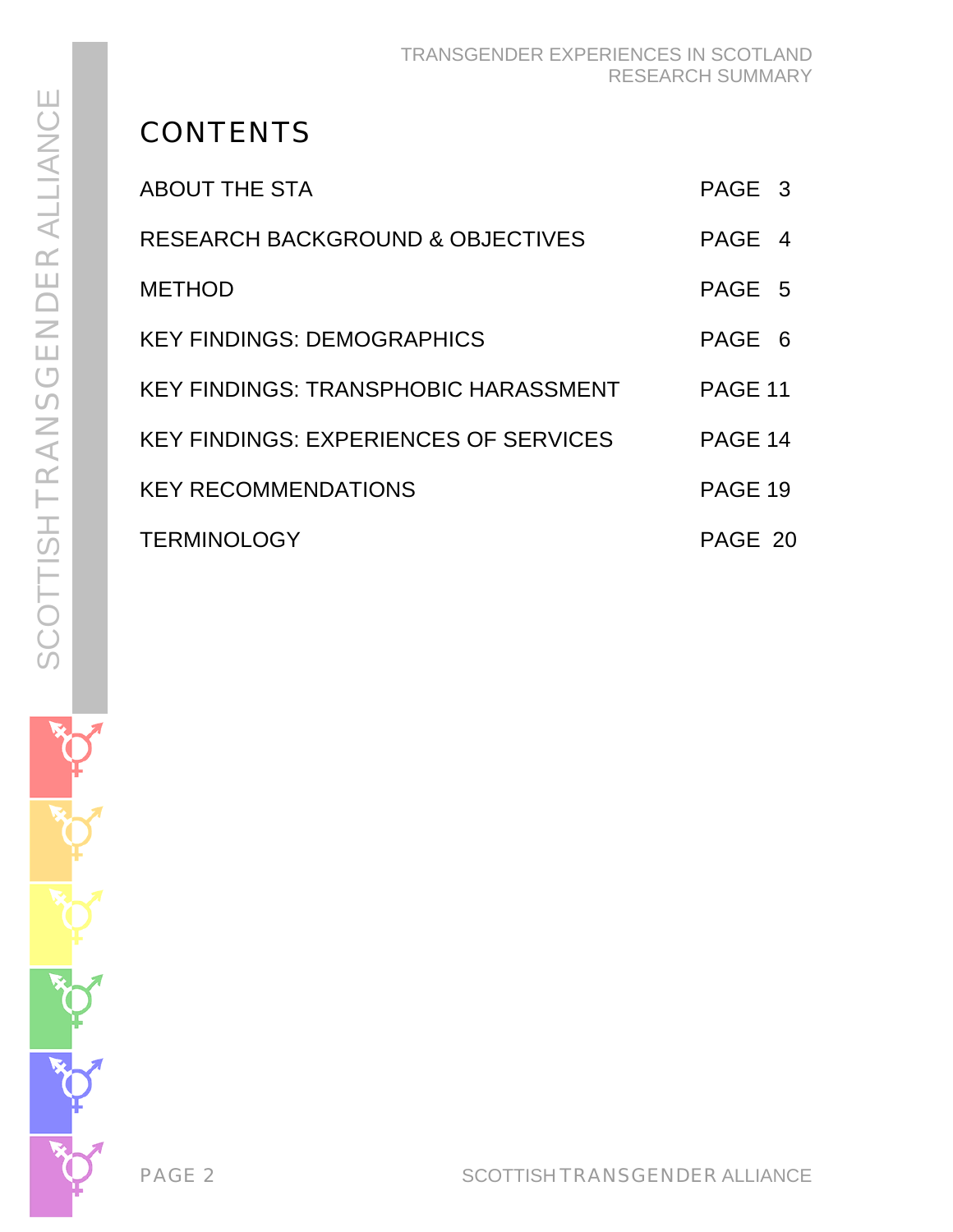# **CONTENTS**

| ABOUT THE STA                               | PAGE 3  |
|---------------------------------------------|---------|
| <b>RESEARCH BACKGROUND &amp; OBJECTIVES</b> | PAGE 4  |
| <b>METHOD</b>                               | PAGE 5  |
| <b>KEY FINDINGS: DEMOGRAPHICS</b>           | PAGE 6  |
| KEY FINDINGS: TRANSPHOBIC HARASSMENT        | PAGE 11 |
| KEY FINDINGS: EXPERIENCES OF SERVICES       | PAGE 14 |
| <b>KEY RECOMMENDATIONS</b>                  | PAGE 19 |
| <b>TERMINOLOGY</b>                          | PAGE 20 |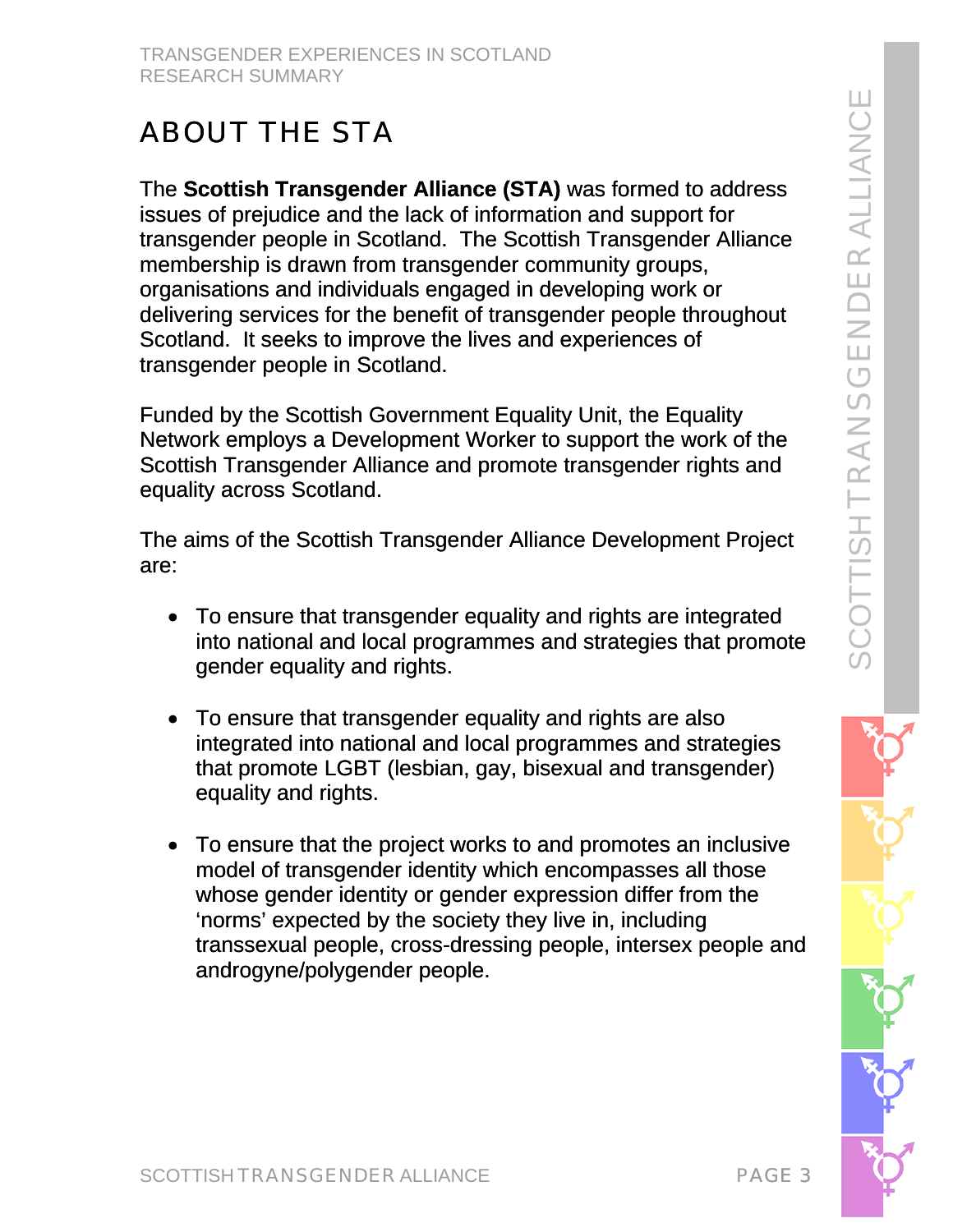# ABOUT THE STA

The **Scottish Transgender Alliance (STA)** was formed to address issues of prejudice and the lack of information and support for transgender people in Scotland. The Scottish Transgender Alliance membership is drawn from transgender community groups, organisations and individuals engaged in developing work or delivering services for the benefit of transgender people throughout Scotland. It seeks to improve the lives and experiences of transgender people in Scotland.

Funded by the Scottish Government Equality Unit, the Equality Network employs a Development Worker to support the work of the Scottish Transgender Alliance and promote transgender rights and equality across Scotland.

The aims of the Scottish Transgender Alliance Development Project are:

- To ensure that transgender equality and rights are integrated into national and local programmes and strategies that promote gender equality and rights.
- To ensure that transgender equality and rights are also integrated into national and local programmes and strategies that promote LGBT (lesbian, gay, bisexual and transgender) equality and rights.
- To ensure that the project works to and promotes an inclusive model of transgender identity which encompasses all those whose gender identity or gender expression differ from the 'norms' expected by the society they live in, including transsexual people, cross-dressing people, intersex people and androgyne/polygender people.

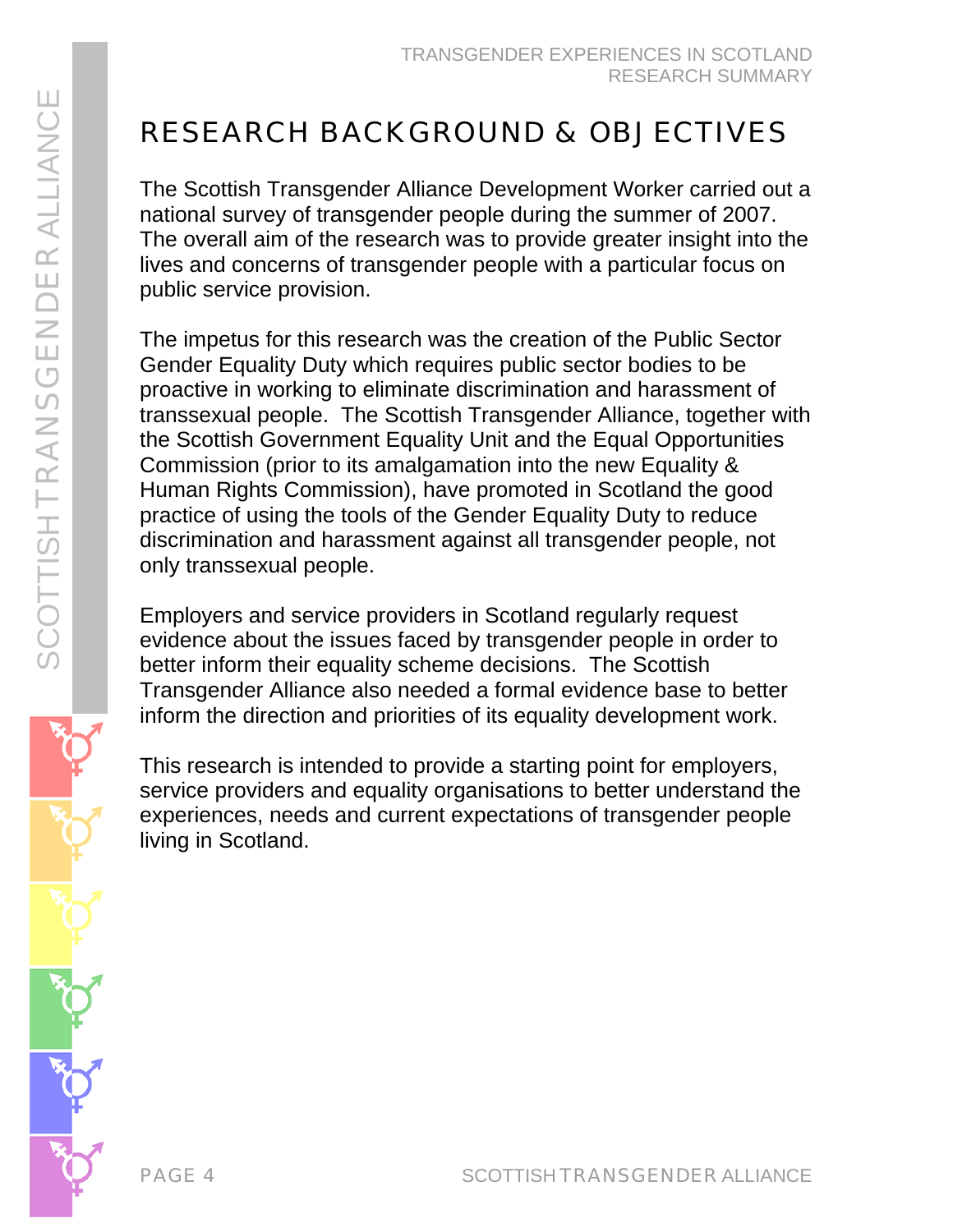# RESEARCH BACKGROUND & OBJECTIVES

The Scottish Transgender Alliance Development Worker carried out a national survey of transgender people during the summer of 2007. The overall aim of the research was to provide greater insight into the lives and concerns of transgender people with a particular focus on public service provision.

The impetus for this research was the creation of the Public Sector Gender Equality Duty which requires public sector bodies to be proactive in working to eliminate discrimination and harassment of transsexual people. The Scottish Transgender Alliance, together with the Scottish Government Equality Unit and the Equal Opportunities Commission (prior to its amalgamation into the new Equality & Human Rights Commission), have promoted in Scotland the good practice of using the tools of the Gender Equality Duty to reduce discrimination and harassment against all transgender people, not only transsexual people.

Employers and service providers in Scotland regularly request evidence about the issues faced by transgender people in order to better inform their equality scheme decisions. The Scottish Transgender Alliance also needed a formal evidence base to better inform the direction and priorities of its equality development work.

This research is intended to provide a starting point for employers, service providers and equality organisations to better understand the experiences, needs and current expectations of transgender people living in Scotland.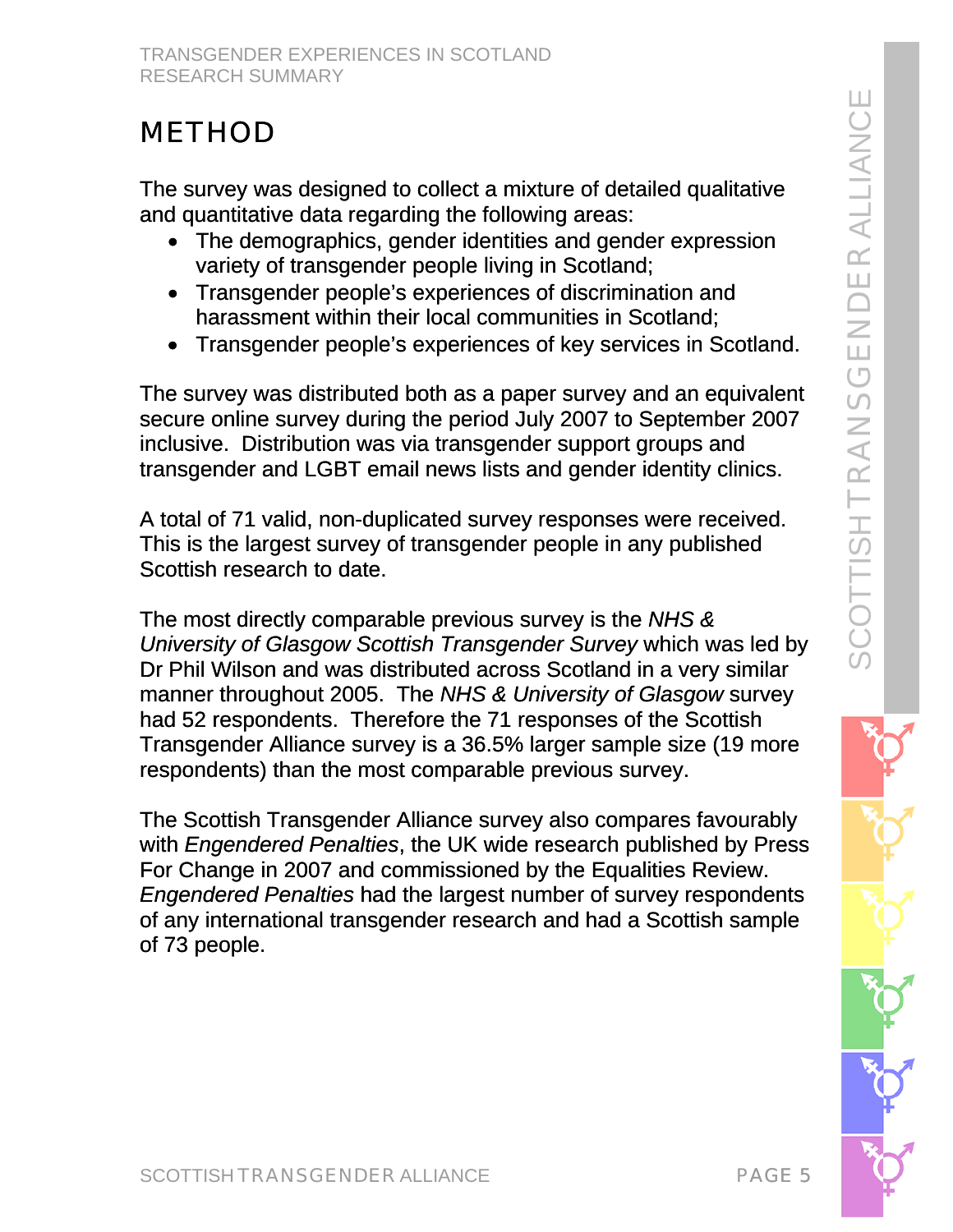# METHOD

The survey was designed to collect a mixture of detailed qualitative and quantitative data regarding the following areas:

- The demographics, gender identities and gender expression variety of transgender people living in Scotland;
- Transgender people's experiences of discrimination and harassment within their local communities in Scotland;
- Transgender people's experiences of key services in Scotland.

The survey was distributed both as a paper survey and an equivalent secure online survey during the period July 2007 to September 2007 inclusive. Distribution was via transgender support groups and transgender and LGBT email news lists and gender identity clinics.

A total of 71 valid, non-duplicated survey responses were received. This is the largest survey of transgender people in any published Scottish research to date.

The most directly comparable previous survey is the *NHS & University of Glasgow Scottish Transgender Survey* which was led by Dr Phil Wilson and was distributed across Scotland in a very similar manner throughout 2005. The *NHS & University of Glasgow* survey had 52 respondents. Therefore the 71 responses of the Scottish Transgender Alliance survey is a 36.5% larger sample size (19 more respondents) than the most comparable previous survey.

The Scottish Transgender Alliance survey also compares favourably with *Engendered Penalties*, the UK wide research published by Press For Change in 2007 and commissioned by the Equalities Review. *Engendered Penalties* had the largest number of survey respondents of any international transgender research and had a Scottish sample of 73 people.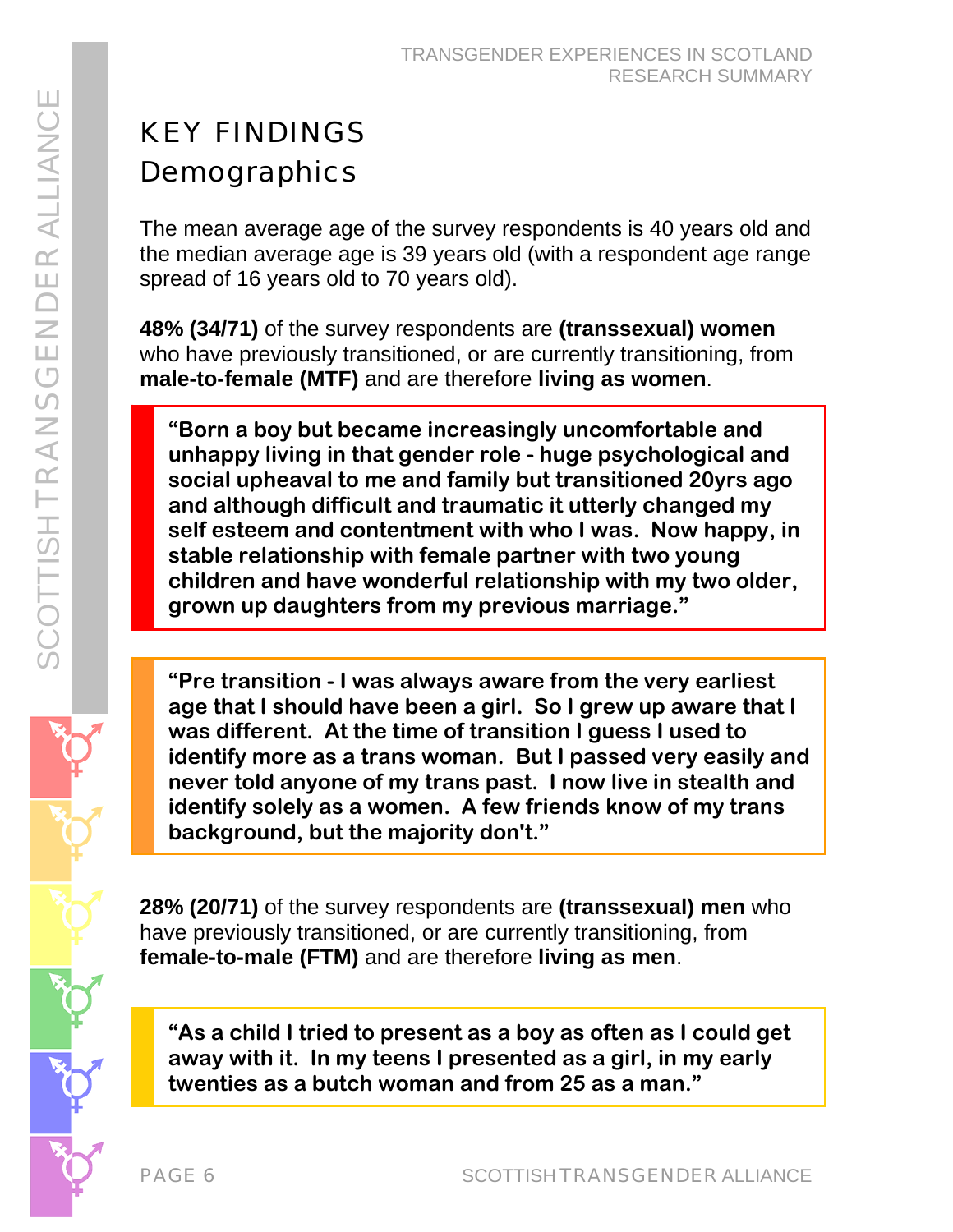# KEY FINDINGS **Demographics**

The mean average age of the survey respondents is 40 years old and the median average age is 39 years old (with a respondent age range spread of 16 years old to 70 years old).

**48% (34/71)** of the survey respondents are **(transsexual) women** who have previously transitioned, or are currently transitioning, from **male-to-female (MTF)** and are therefore **living as women**.

**"Born a boy but became increasingly uncomfortable and unhappy living in that gender role - huge psychological and social upheaval to me and family but transitioned 20yrs ago and although difficult and traumatic it utterly changed my self esteem and contentment with who I was. Now happy, in stable relationship with female partner with two young children and have wonderful relationship with my two older, grown up daughters from my previous marriage."** 

**"Pre transition - I was always aware from the very earliest age that I should have been a girl. So I grew up aware that I was different. At the time of transition I guess I used to identify more as a trans woman. But I passed very easily and never told anyone of my trans past. I now live in stealth and identify solely as a women. A few friends know of my trans background, but the majority don't."** 

**28% (20/71)** of the survey respondents are **(transsexual) men** who have previously transitioned, or are currently transitioning, from **female-to-male (FTM)** and are therefore **living as men**.

**"As a child I tried to present as a boy as often as I could get away with it. In my teens I presented as a girl, in my early twenties as a butch woman and from 25 as a man."**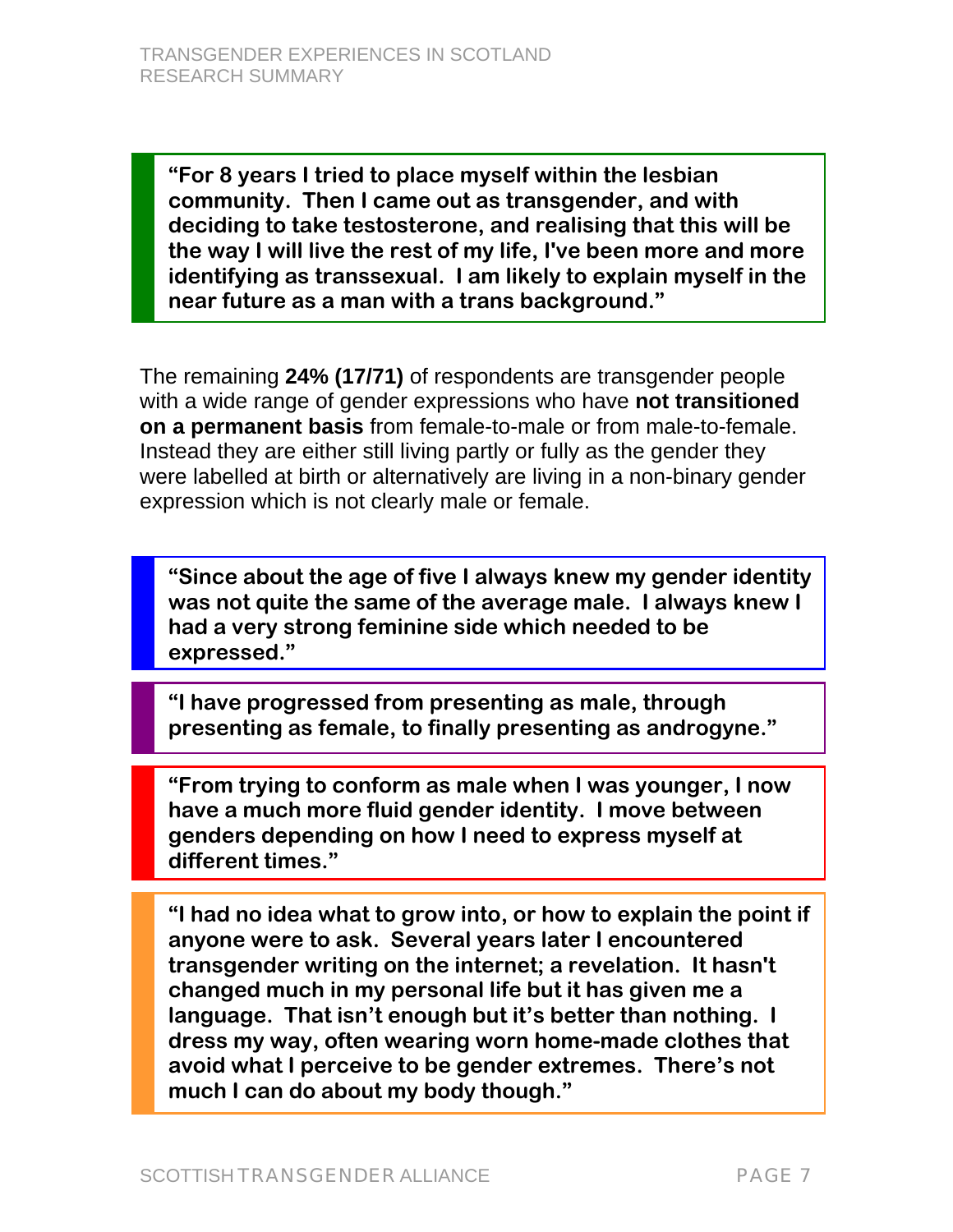**"For 8 years I tried to place myself within the lesbian community. Then I came out as transgender, and with deciding to take testosterone, and realising that this will be the way I will live the rest of my life, I've been more and more identifying as transsexual. I am likely to explain myself in the near future as a man with a trans background."** 

The remaining **24% (17/71)** of respondents are transgender people with a wide range of gender expressions who have **not transitioned on a permanent basis** from female-to-male or from male-to-female. Instead they are either still living partly or fully as the gender they were labelled at birth or alternatively are living in a non-binary gender expression which is not clearly male or female.

**"Since about the age of five I always knew my gender identity was not quite the same of the average male. I always knew I had a very strong feminine side which needed to be expressed."** 

**"I have progressed from presenting as male, through presenting as female, to finally presenting as androgyne."** 

**"From trying to conform as male when I was younger, I now have a much more fluid gender identity. I move between genders depending on how I need to express myself at different times."** 

**"I had no idea what to grow into, or how to explain the point if anyone were to ask. Several years later I encountered transgender writing on the internet; a revelation. It hasn't changed much in my personal life but it has given me a language. That isn't enough but it's better than nothing. I dress my way, often wearing worn home-made clothes that avoid what I perceive to be gender extremes. There's not much I can do about my body though."**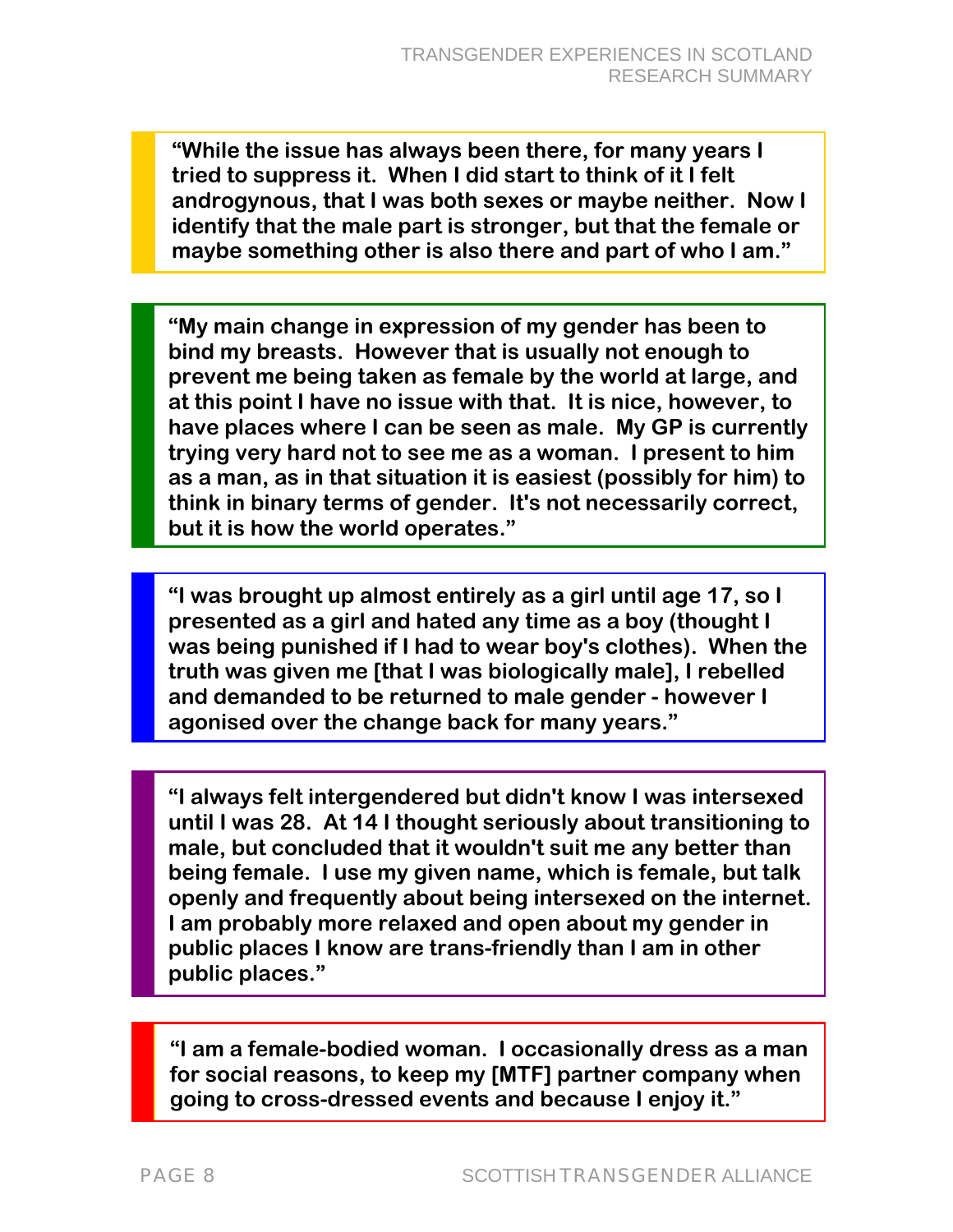**"While the issue has always been there, for many years I tried to suppress it. When I did start to think of it I felt androgynous, that I was both sexes or maybe neither. Now I identify that the male part is stronger, but that the female or maybe something other is also there and part of who I am."** 

**"My main change in expression of my gender has been to bind my breasts. However that is usually not enough to prevent me being taken as female by the world at large, and at this point I have no issue with that. It is nice, however, to have places where I can be seen as male. My GP is currently trying very hard not to see me as a woman. I present to him as a man, as in that situation it is easiest (possibly for him) to think in binary terms of gender. It's not necessarily correct, but it is how the world operates."** 

**"I was brought up almost entirely as a girl until age 17, so I presented as a girl and hated any time as a boy (thought I was being punished if I had to wear boy's clothes). When the truth was given me [that I was biologically male], I rebelled and demanded to be returned to male gender - however I agonised over the change back for many years."** 

**"I always felt intergendered but didn't know I was intersexed until I was 28. At 14 I thought seriously about transitioning to male, but concluded that it wouldn't suit me any better than being female. I use my given name, which is female, but talk openly and frequently about being intersexed on the internet. I am probably more relaxed and open about my gender in public places I know are trans-friendly than I am in other public places."** 

**"I am a female-bodied woman. I occasionally dress as a man for social reasons, to keep my [MTF] partner company when going to cross-dressed events and because I enjoy it."**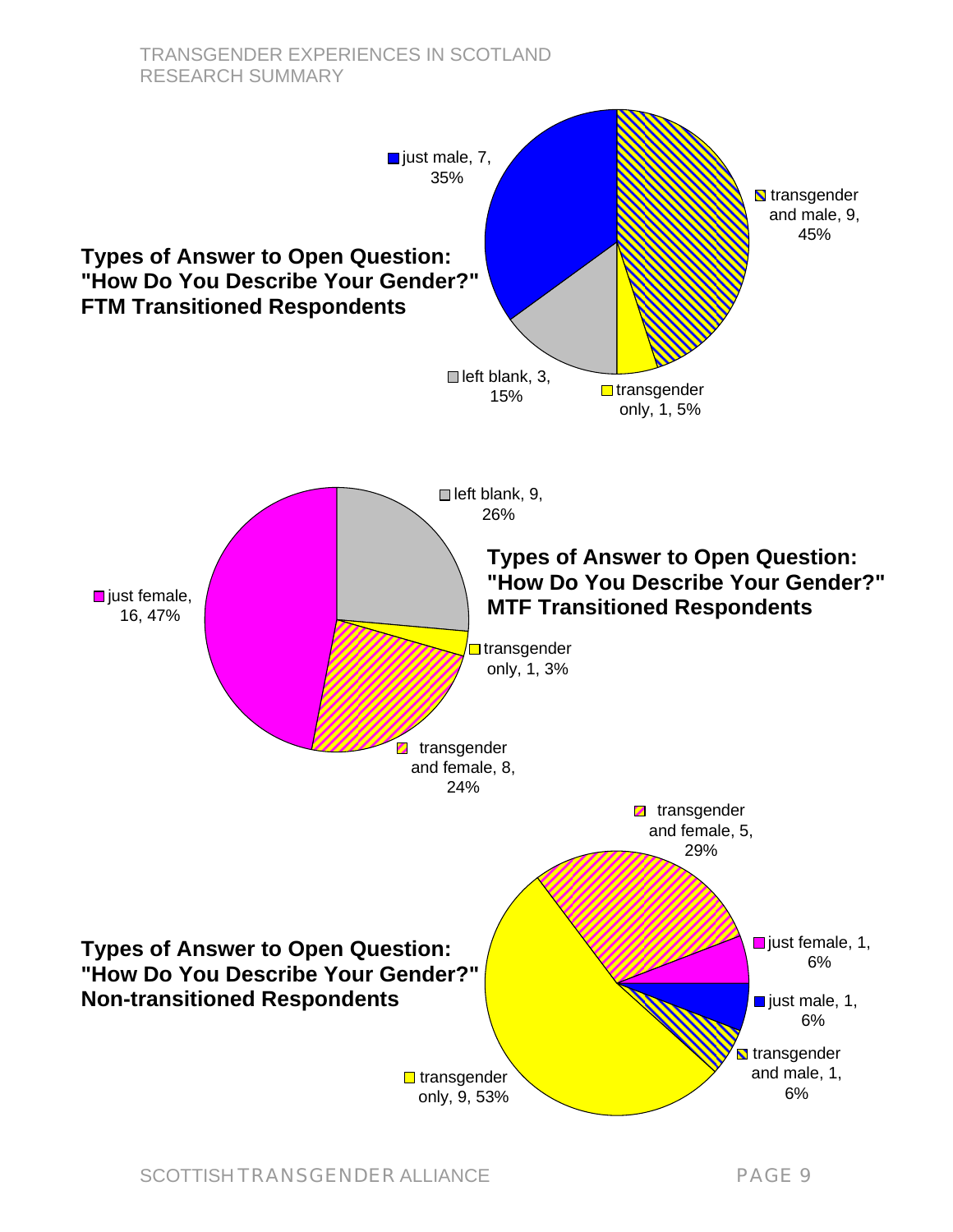#### TRANSGENDER EXPERIENCES IN SCOTLAND RESEARCH SUMMARY

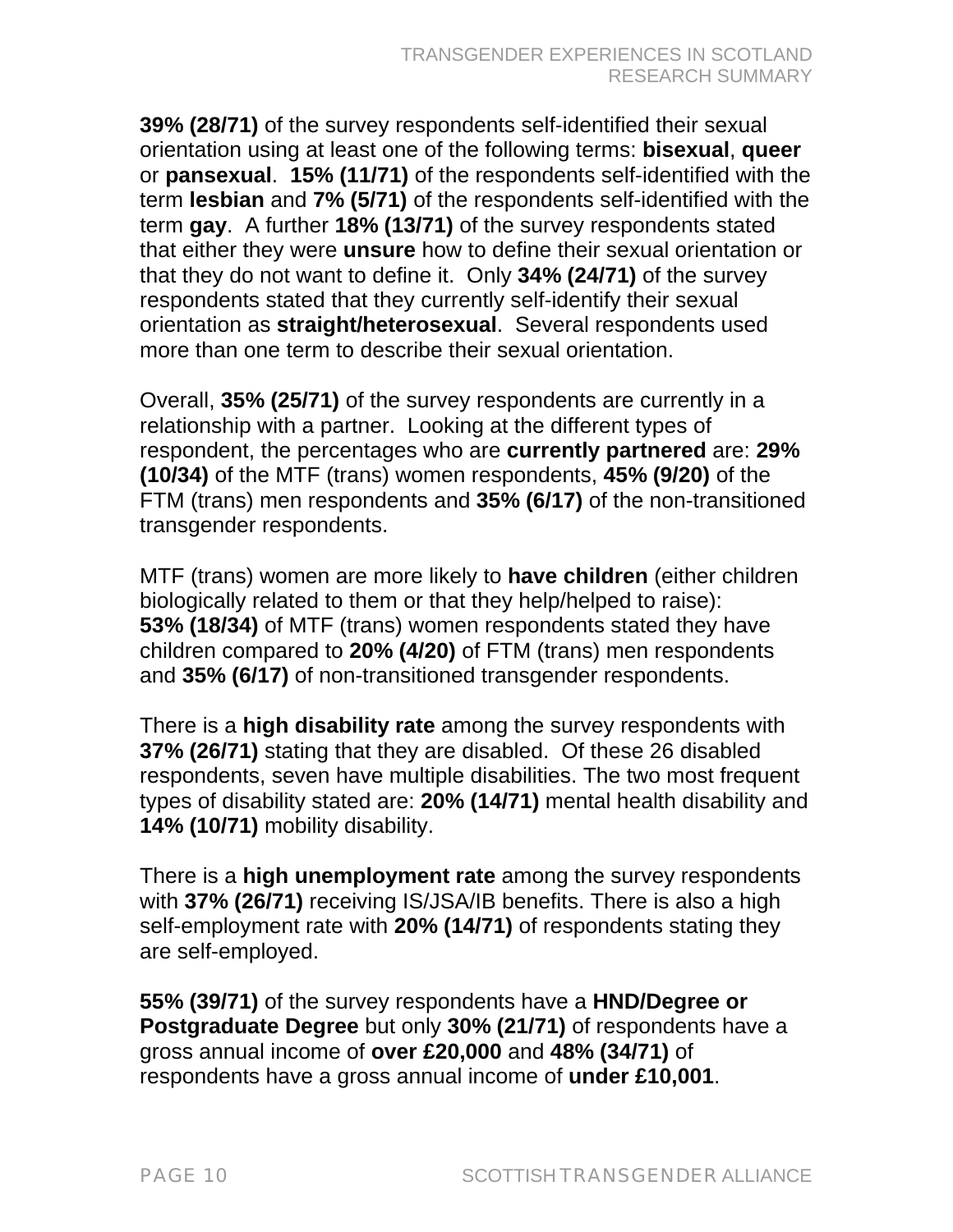**39% (28/71)** of the survey respondents self-identified their sexual orientation using at least one of the following terms: **bisexual**, **queer** or **pansexual**. **15% (11/71)** of the respondents self-identified with the term **lesbian** and **7% (5/71)** of the respondents self-identified with the term **gay**. A further **18% (13/71)** of the survey respondents stated that either they were **unsure** how to define their sexual orientation or that they do not want to define it. Only **34% (24/71)** of the survey respondents stated that they currently self-identify their sexual orientation as **straight/heterosexual**. Several respondents used more than one term to describe their sexual orientation.

Overall, **35% (25/71)** of the survey respondents are currently in a relationship with a partner. Looking at the different types of respondent, the percentages who are **currently partnered** are: **29% (10/34)** of the MTF (trans) women respondents, **45% (9/20)** of the FTM (trans) men respondents and **35% (6/17)** of the non-transitioned transgender respondents.

MTF (trans) women are more likely to **have children** (either children biologically related to them or that they help/helped to raise): **53% (18/34)** of MTF (trans) women respondents stated they have children compared to **20% (4/20)** of FTM (trans) men respondents and **35% (6/17)** of non-transitioned transgender respondents.

There is a **high disability rate** among the survey respondents with **37% (26/71)** stating that they are disabled. Of these 26 disabled respondents, seven have multiple disabilities. The two most frequent types of disability stated are: **20% (14/71)** mental health disability and **14% (10/71)** mobility disability.

There is a **high unemployment rate** among the survey respondents with **37% (26/71)** receiving IS/JSA/IB benefits. There is also a high self-employment rate with **20% (14/71)** of respondents stating they are self-employed.

**55% (39/71)** of the survey respondents have a **HND/Degree or Postgraduate Degree** but only **30% (21/71)** of respondents have a gross annual income of **over £20,000** and **48% (34/71)** of respondents have a gross annual income of **under £10,001**.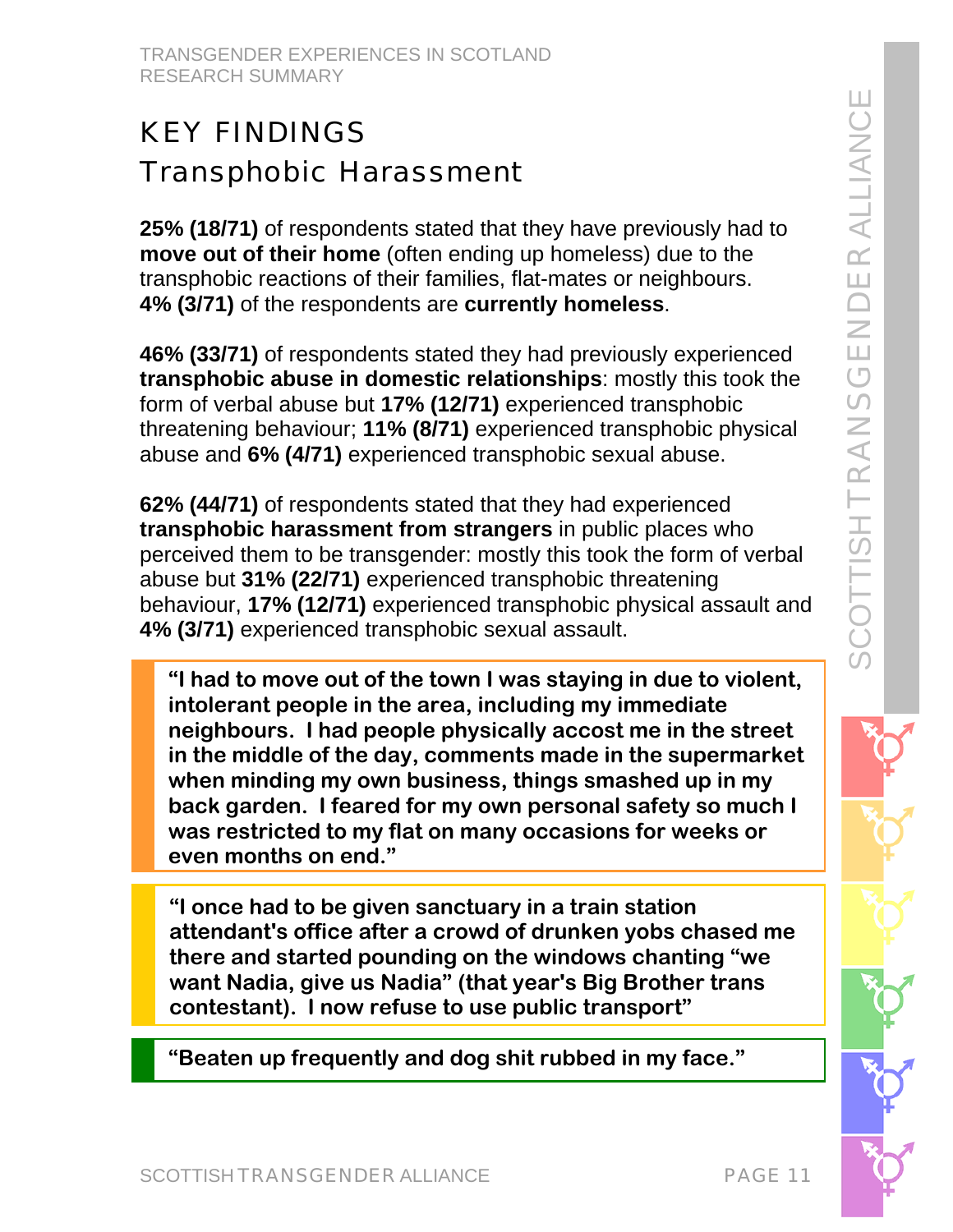# KEY FINDINGS Transphobic Harassment

**25% (18/71)** of respondents stated that they have previously had to **move out of their home** (often ending up homeless) due to the transphobic reactions of their families, flat-mates or neighbours. **4% (3/71)** of the respondents are **currently homeless**.

**46% (33/71)** of respondents stated they had previously experienced **transphobic abuse in domestic relationships**: mostly this took the form of verbal abuse but **17% (12/71)** experienced transphobic threatening behaviour; **11% (8/71)** experienced transphobic physical abuse and **6% (4/71)** experienced transphobic sexual abuse.

**62% (44/71)** of respondents stated that they had experienced **transphobic harassment from strangers** in public places who perceived them to be transgender: mostly this took the form of verbal abuse but **31% (22/71)** experienced transphobic threatening behaviour, **17% (12/71)** experienced transphobic physical assault and **4% (3/71)** experienced transphobic sexual assault.

**"I had to move out of the town I was staying in due to violent, intolerant people in the area, including my immediate neighbours. I had people physically accost me in the street in the middle of the day, comments made in the supermarket when minding my own business, things smashed up in my back garden. I feared for my own personal safety so much I was restricted to my flat on many occasions for weeks or even months on end."** 

**"I once had to be given sanctuary in a train station attendant's office after a crowd of drunken yobs chased me there and started pounding on the windows chanting "we want Nadia, give us Nadia" (that year's Big Brother trans contestant). I now refuse to use public transport"** 

**"Beaten up frequently and dog shit rubbed in my face."**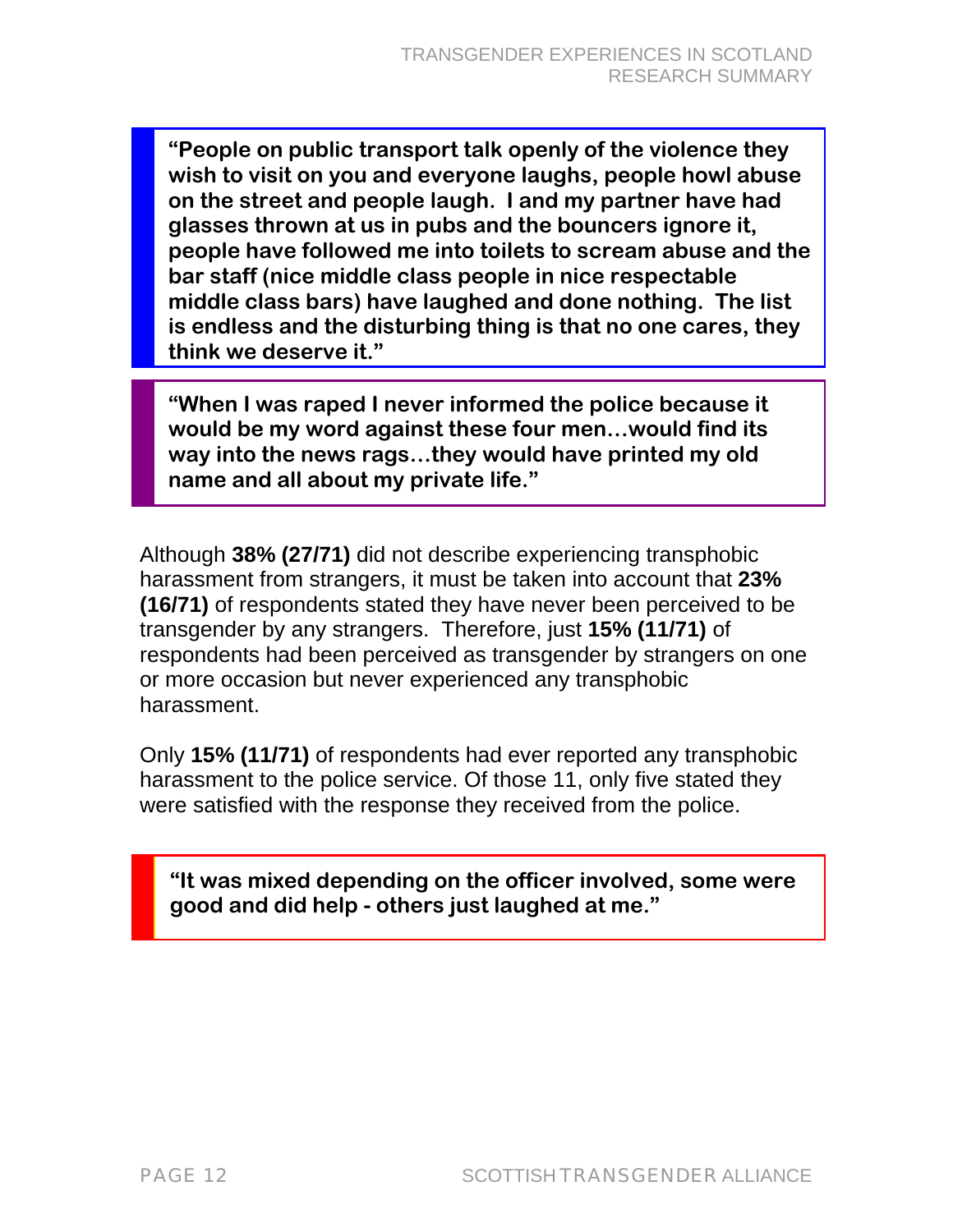**"People on public transport talk openly of the violence they wish to visit on you and everyone laughs, people howl abuse on the street and people laugh. I and my partner have had glasses thrown at us in pubs and the bouncers ignore it, people have followed me into toilets to scream abuse and the bar staff (nice middle class people in nice respectable middle class bars) have laughed and done nothing. The list is endless and the disturbing thing is that no one cares, they think we deserve it."** 

**"When I was raped I never informed the police because it would be my word against these four men…would find its way into the news rags…they would have printed my old name and all about my private life."** 

Although **38% (27/71)** did not describe experiencing transphobic harassment from strangers, it must be taken into account that **23% (16/71)** of respondents stated they have never been perceived to be transgender by any strangers. Therefore, just **15% (11/71)** of respondents had been perceived as transgender by strangers on one or more occasion but never experienced any transphobic harassment.

Only **15% (11/71)** of respondents had ever reported any transphobic harassment to the police service. Of those 11, only five stated they were satisfied with the response they received from the police.

**"It was mixed depending on the officer involved, some were good and did help - others just laughed at me."**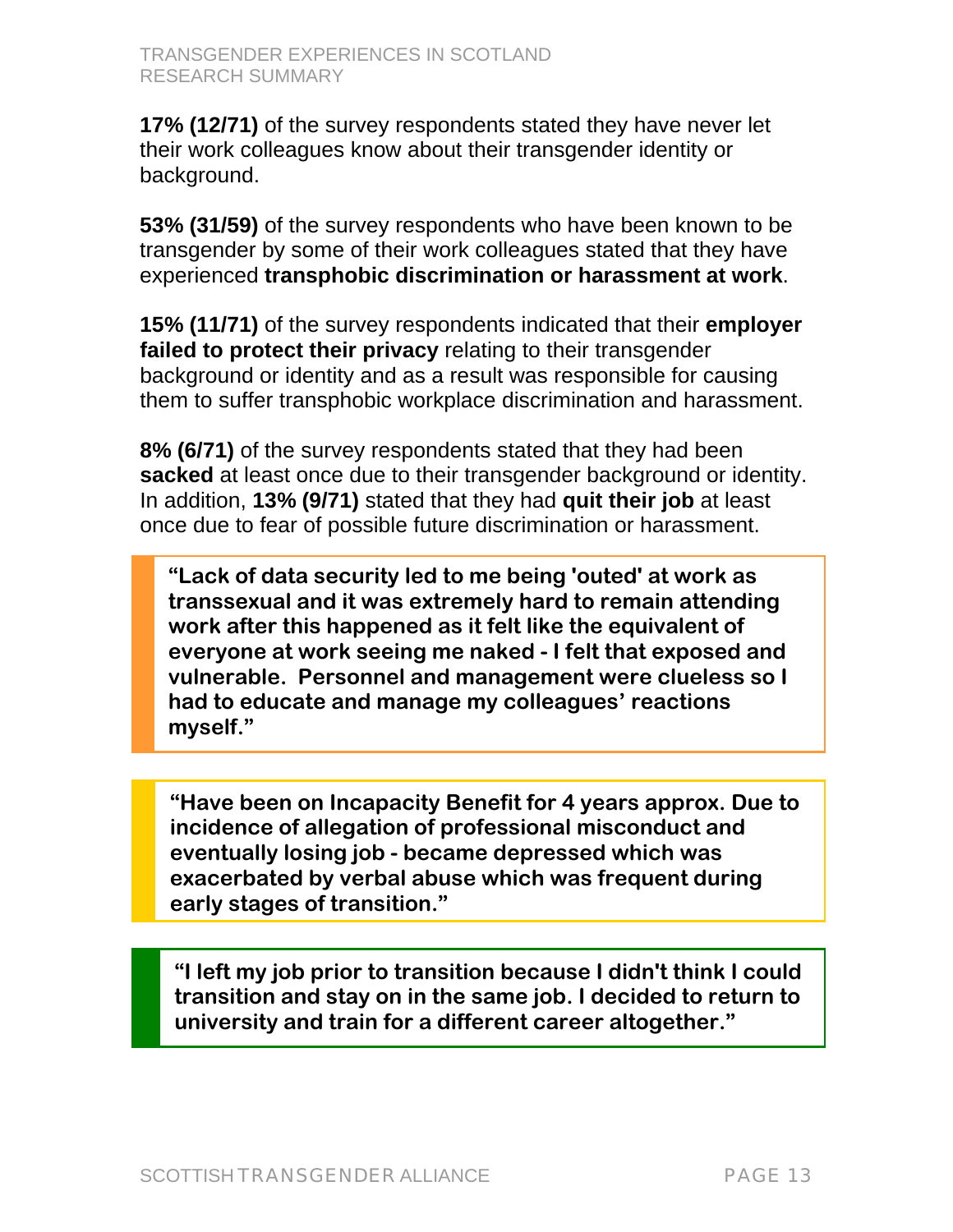**17% (12/71)** of the survey respondents stated they have never let their work colleagues know about their transgender identity or background.

**53% (31/59)** of the survey respondents who have been known to be transgender by some of their work colleagues stated that they have experienced **transphobic discrimination or harassment at work**.

**15% (11/71)** of the survey respondents indicated that their **employer failed to protect their privacy** relating to their transgender background or identity and as a result was responsible for causing them to suffer transphobic workplace discrimination and harassment.

**8% (6/71)** of the survey respondents stated that they had been **sacked** at least once due to their transgender background or identity. In addition, **13% (9/71)** stated that they had **quit their job** at least once due to fear of possible future discrimination or harassment.

**"Lack of data security led to me being 'outed' at work as transsexual and it was extremely hard to remain attending work after this happened as it felt like the equivalent of everyone at work seeing me naked - I felt that exposed and vulnerable. Personnel and management were clueless so I had to educate and manage my colleagues' reactions myself."** 

**"Have been on Incapacity Benefit for 4 years approx. Due to incidence of allegation of professional misconduct and eventually losing job - became depressed which was exacerbated by verbal abuse which was frequent during early stages of transition."** 

**"I left my job prior to transition because I didn't think I could transition and stay on in the same job. I decided to return to university and train for a different career altogether."**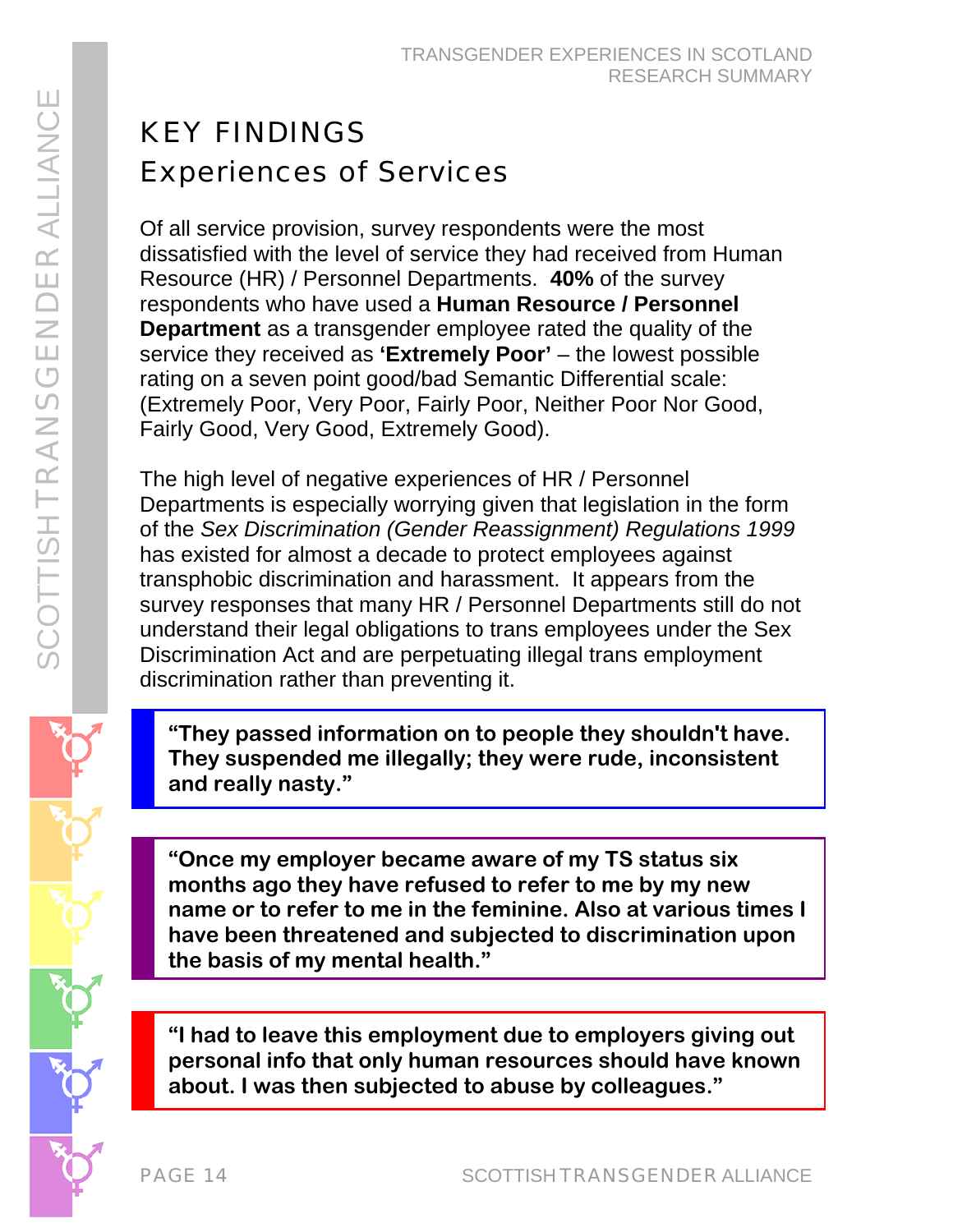# KEY FINDINGS Experiences of Services

Of all service provision, survey respondents were the most dissatisfied with the level of service they had received from Human Resource (HR) / Personnel Departments. **40%** of the survey respondents who have used a **Human Resource / Personnel Department** as a transgender employee rated the quality of the service they received as **'Extremely Poor'** – the lowest possible rating on a seven point good/bad Semantic Differential scale: (Extremely Poor, Very Poor, Fairly Poor, Neither Poor Nor Good, Fairly Good, Very Good, Extremely Good).

The high level of negative experiences of HR / Personnel Departments is especially worrying given that legislation in the form of the *Sex Discrimination (Gender Reassignment) Regulations 1999* has existed for almost a decade to protect employees against transphobic discrimination and harassment. It appears from the survey responses that many HR / Personnel Departments still do not understand their legal obligations to trans employees under the Sex Discrimination Act and are perpetuating illegal trans employment discrimination rather than preventing it.

**"They passed information on to people they shouldn't have. They suspended me illegally; they were rude, inconsistent and really nasty."** 

**"Once my employer became aware of my TS status six months ago they have refused to refer to me by my new name or to refer to me in the feminine. Also at various times I have been threatened and subjected to discrimination upon the basis of my mental health."** 

j **"I had to leave this employment due to employers giving out personal info that only human resources should have known about. I was then subjected to abuse by colleagues."**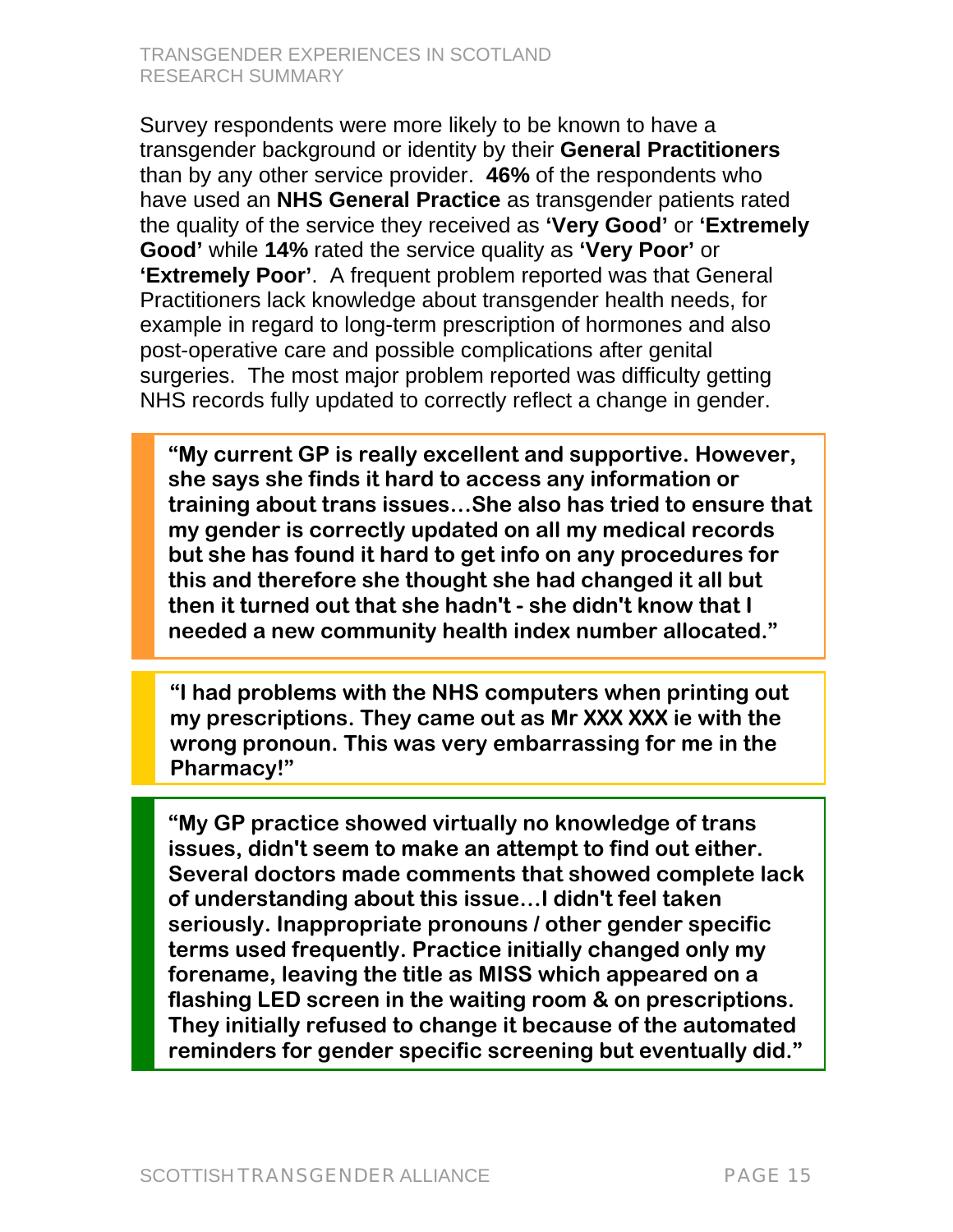#### TRANSGENDER EXPERIENCES IN SCOTLAND RESEARCH SUMMARY

Survey respondents were more likely to be known to have a transgender background or identity by their **General Practitioners** than by any other service provider. **46%** of the respondents who have used an **NHS General Practice** as transgender patients rated the quality of the service they received as **'Very Good'** or **'Extremely Good'** while **14%** rated the service quality as **'Very Poor'** or **'Extremely Poor'**. A frequent problem reported was that General Practitioners lack knowledge about transgender health needs, for example in regard to long-term prescription of hormones and also post-operative care and possible complications after genital surgeries. The most major problem reported was difficulty getting NHS records fully updated to correctly reflect a change in gender.

**"My current GP is really excellent and supportive. However, she says she finds it hard to access any information or training about trans issues…She also has tried to ensure that my gender is correctly updated on all my medical records but she has found it hard to get info on any procedures for this and therefore she thought she had changed it all but then it turned out that she hadn't - she didn't know that I needed a new community health index number allocated."** 

**"I had problems with the NHS computers when printing out my prescriptions. They came out as Mr XXX XXX ie with the wrong pronoun. This was very embarrassing for me in the Pharmacy!"** 

**"My GP practice showed virtually no knowledge of trans issues, didn't seem to make an attempt to find out either. Several doctors made comments that showed complete lack of understanding about this issue…I didn't feel taken seriously. Inappropriate pronouns / other gender specific terms used frequently. Practice initially changed only my forename, leaving the title as MISS which appeared on a flashing LED screen in the waiting room & on prescriptions. They initially refused to change it because of the automated reminders for gender specific screening but eventually did."**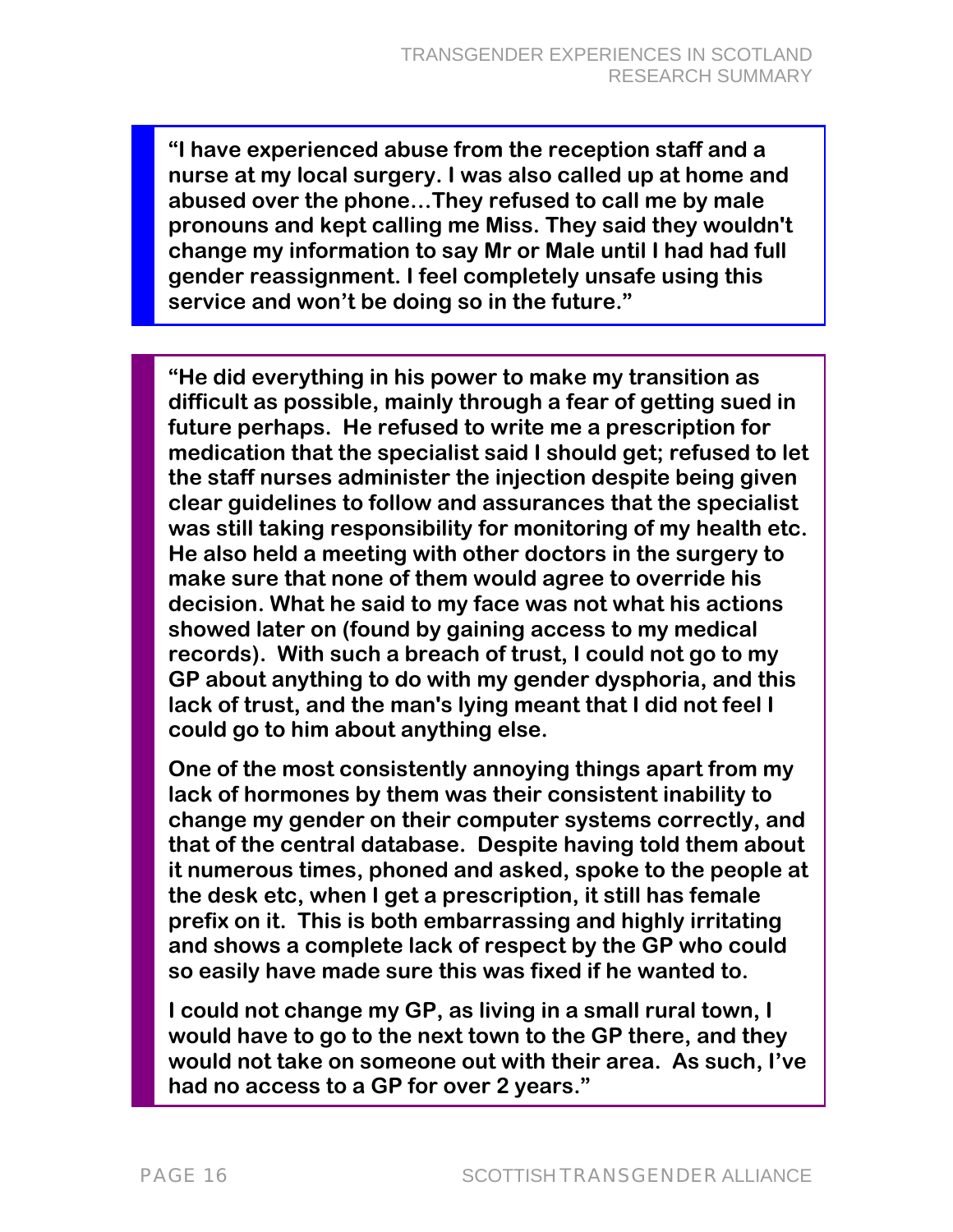**"I have experienced abuse from the reception staff and a nurse at my local surgery. I was also called up at home and abused over the phone…They refused to call me by male pronouns and kept calling me Miss. They said they wouldn't change my information to say Mr or Male until I had had full gender reassignment. I feel completely unsafe using this service and won't be doing so in the future."** 

**"He did everything in his power to make my transition as difficult as possible, mainly through a fear of getting sued in future perhaps. He refused to write me a prescription for medication that the specialist said I should get; refused to let the staff nurses administer the injection despite being given clear guidelines to follow and assurances that the specialist was still taking responsibility for monitoring of my health etc. He also held a meeting with other doctors in the surgery to make sure that none of them would agree to override his decision. What he said to my face was not what his actions showed later on (found by gaining access to my medical records). With such a breach of trust, I could not go to my GP about anything to do with my gender dysphoria, and this lack of trust, and the man's lying meant that I did not feel I could go to him about anything else.** 

**One of the most consistently annoying things apart from my lack of hormones by them was their consistent inability to change my gender on their computer systems correctly, and that of the central database. Despite having told them about it numerous times, phoned and asked, spoke to the people at the desk etc, when I get a prescription, it still has female prefix on it. This is both embarrassing and highly irritating and shows a complete lack of respect by the GP who could so easily have made sure this was fixed if he wanted to.** 

**I could not change my GP, as living in a small rural town, I would have to go to the next town to the GP there, and they would not take on someone out with their area. As such, I've had no access to a GP for over 2 years."**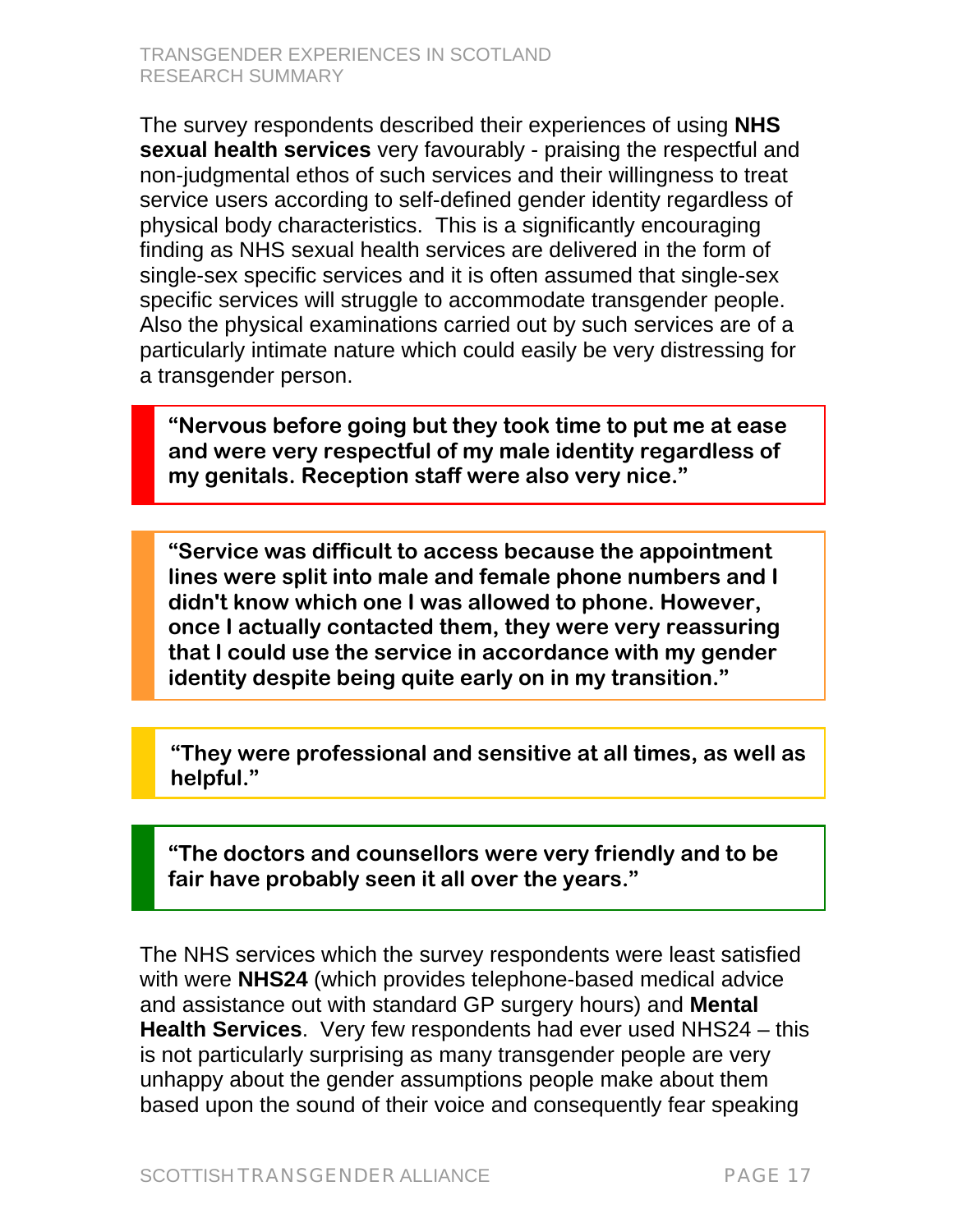The survey respondents described their experiences of using **NHS sexual health services** very favourably - praising the respectful and non-judgmental ethos of such services and their willingness to treat service users according to self-defined gender identity regardless of physical body characteristics. This is a significantly encouraging finding as NHS sexual health services are delivered in the form of single-sex specific services and it is often assumed that single-sex specific services will struggle to accommodate transgender people. Also the physical examinations carried out by such services are of a particularly intimate nature which could easily be very distressing for a transgender person.

**"Nervous before going but they took time to put me at ease and were very respectful of my male identity regardless of my genitals. Reception staff were also very nice."** 

**"Service was difficult to access because the appointment lines were split into male and female phone numbers and I didn't know which one I was allowed to phone. However, once I actually contacted them, they were very reassuring that I could use the service in accordance with my gender identity despite being quite early on in my transition."** 

**"They were professional and sensitive at all times, as well as helpful."** 

**"The doctors and counsellors were very friendly and to be fair have probably seen it all over the years."** 

The NHS services which the survey respondents were least satisfied with were **NHS24** (which provides telephone-based medical advice and assistance out with standard GP surgery hours) and **Mental Health Services**. Very few respondents had ever used NHS24 – this is not particularly surprising as many transgender people are very unhappy about the gender assumptions people make about them based upon the sound of their voice and consequently fear speaking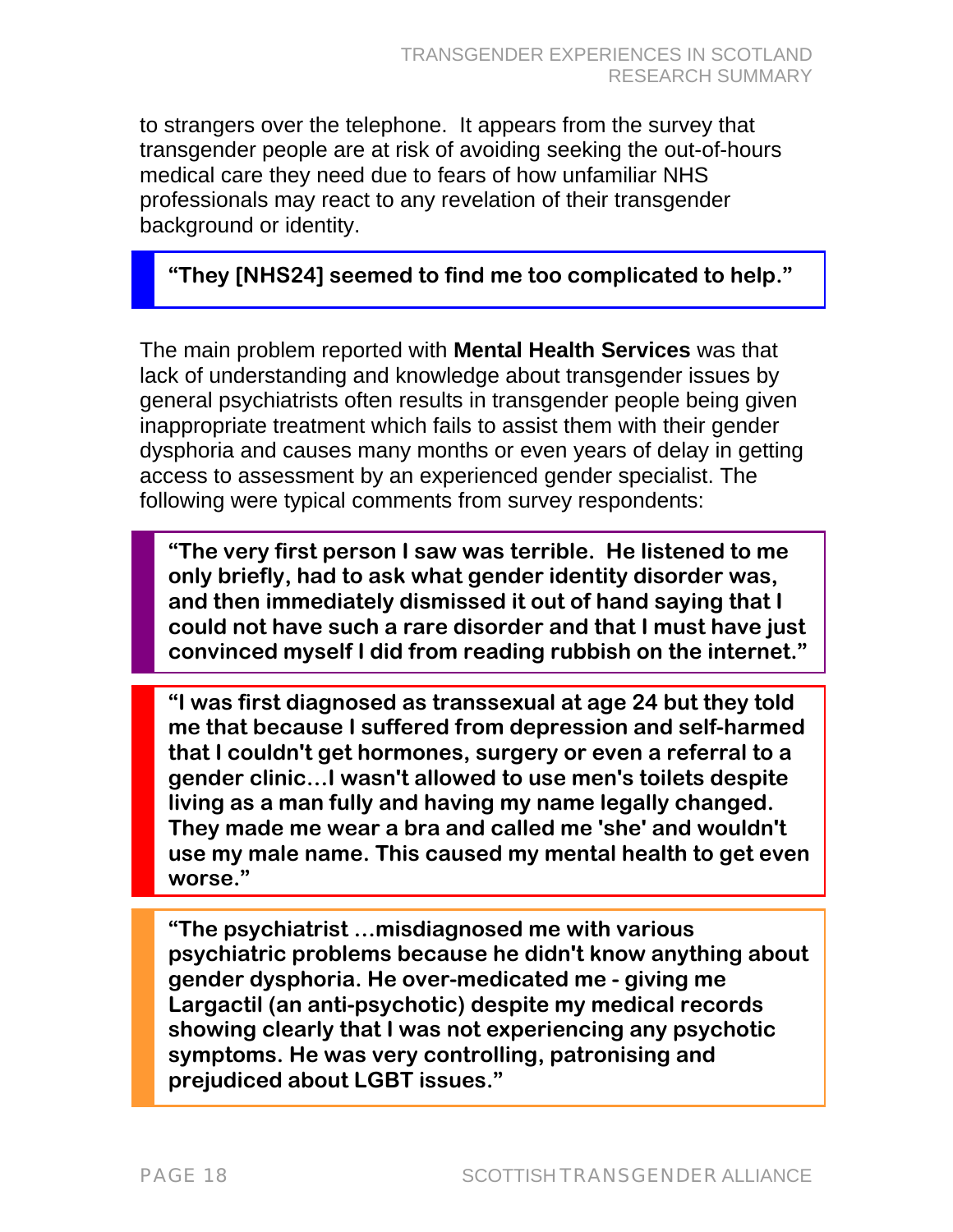to strangers over the telephone. It appears from the survey that transgender people are at risk of avoiding seeking the out-of-hours medical care they need due to fears of how unfamiliar NHS professionals may react to any revelation of their transgender background or identity.

#### **"They [NHS24] seemed to find me too complicated to help."**

The main problem reported with **Mental Health Services** was that lack of understanding and knowledge about transgender issues by general psychiatrists often results in transgender people being given inappropriate treatment which fails to assist them with their gender dysphoria and causes many months or even years of delay in getting access to assessment by an experienced gender specialist. The following were typical comments from survey respondents:

**"The very first person I saw was terrible. He listened to me only briefly, had to ask what gender identity disorder was, and then immediately dismissed it out of hand saying that I could not have such a rare disorder and that I must have just convinced myself I did from reading rubbish on the internet."** 

**"I was first diagnosed as transsexual at age 24 but they told me that because I suffered from depression and self-harmed that I couldn't get hormones, surgery or even a referral to a gender clinic…I wasn't allowed to use men's toilets despite living as a man fully and having my name legally changed. They made me wear a bra and called me 'she' and wouldn't use my male name. This caused my mental health to get even worse."** 

**"The psychiatrist …misdiagnosed me with various psychiatric problems because he didn't know anything about gender dysphoria. He over-medicated me - giving me Largactil (an anti-psychotic) despite my medical records showing clearly that I was not experiencing any psychotic symptoms. He was very controlling, patronising and prejudiced about LGBT issues."** 

 $\overline{a}$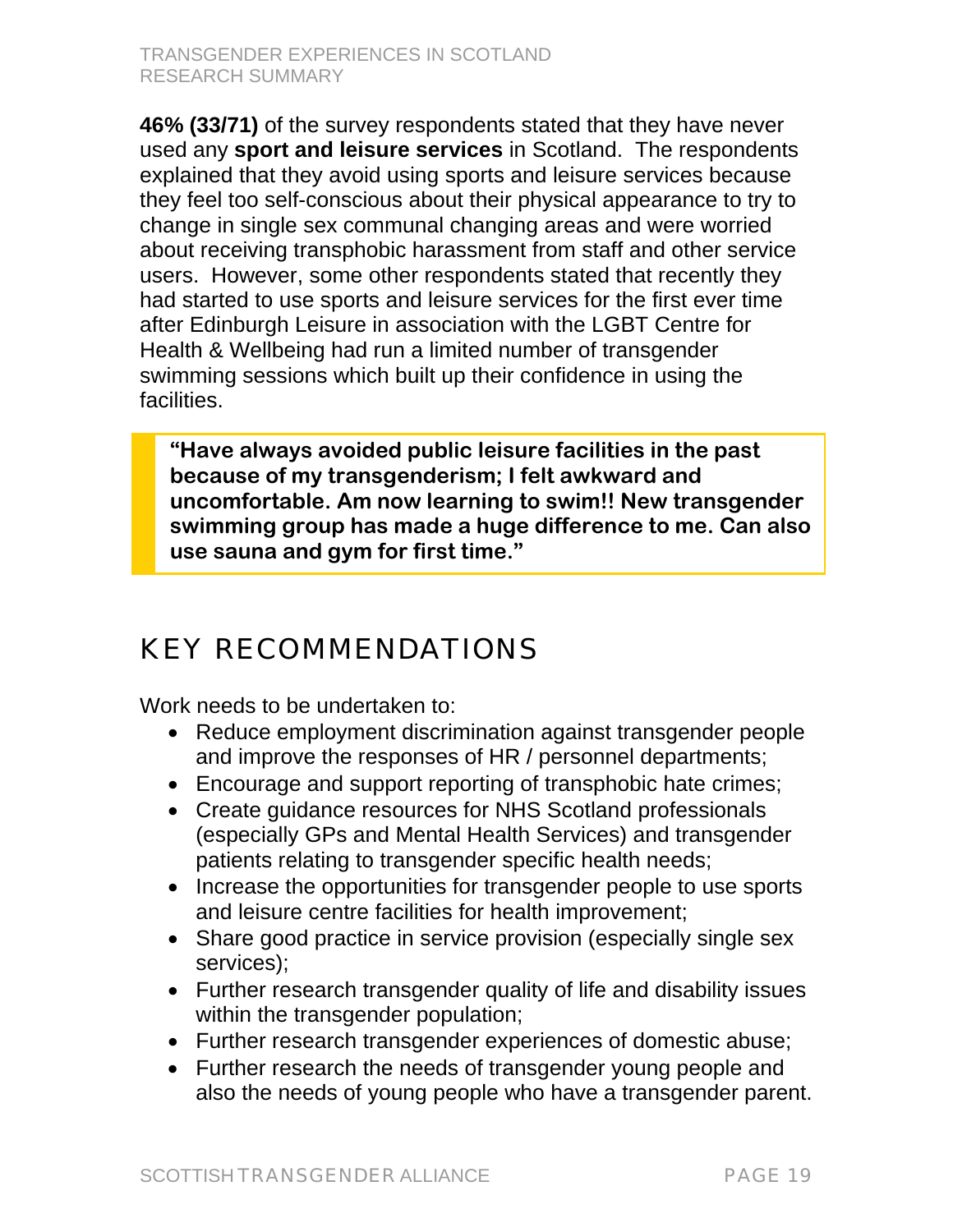**46% (33/71)** of the survey respondents stated that they have never used any **sport and leisure services** in Scotland. The respondents explained that they avoid using sports and leisure services because they feel too self-conscious about their physical appearance to try to change in single sex communal changing areas and were worried about receiving transphobic harassment from staff and other service users. However, some other respondents stated that recently they had started to use sports and leisure services for the first ever time after Edinburgh Leisure in association with the LGBT Centre for Health & Wellbeing had run a limited number of transgender swimming sessions which built up their confidence in using the facilities.

**"Have always avoided public leisure facilities in the past because of my transgenderism; I felt awkward and uncomfortable. Am now learning to swim!! New transgender swimming group has made a huge difference to me. Can also use sauna and gym for first time."** 

# KEY RECOMMENDATIONS

Work needs to be undertaken to:

- Reduce employment discrimination against transgender people and improve the responses of HR / personnel departments;
- Encourage and support reporting of transphobic hate crimes;
- Create guidance resources for NHS Scotland professionals (especially GPs and Mental Health Services) and transgender patients relating to transgender specific health needs;
- Increase the opportunities for transgender people to use sports and leisure centre facilities for health improvement;
- Share good practice in service provision (especially single sex services);
- Further research transgender quality of life and disability issues within the transgender population;
- Further research transgender experiences of domestic abuse;
- Further research the needs of transgender young people and also the needs of young people who have a transgender parent.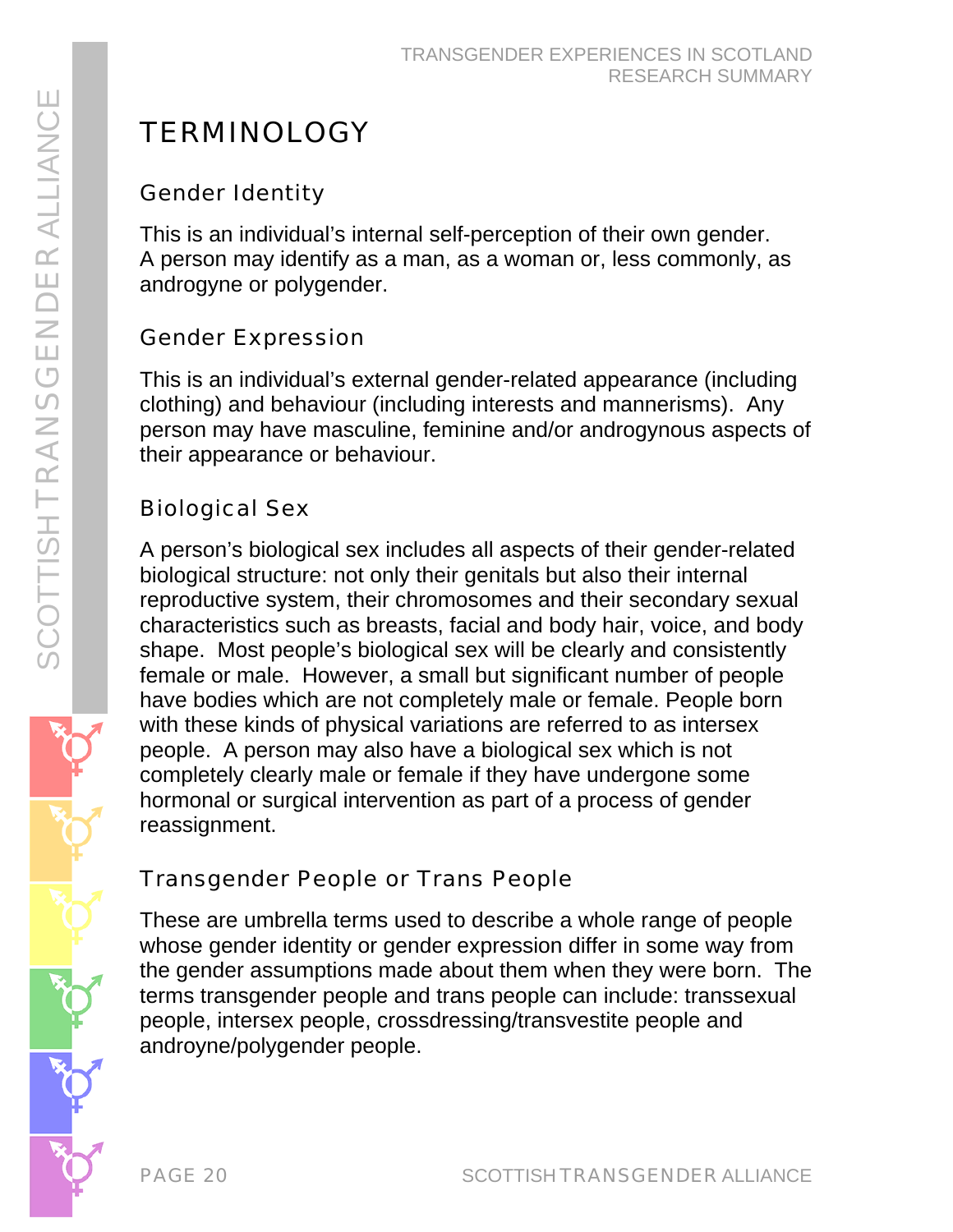# **TERMINOLOGY**

## Gender Identity

This is an individual's internal self-perception of their own gender. A person may identify as a man, as a woman or, less commonly, as androgyne or polygender.

## Gender Expression

This is an individual's external gender-related appearance (including clothing) and behaviour (including interests and mannerisms). Any person may have masculine, feminine and/or androgynous aspects of their appearance or behaviour.

# Biological Sex

A person's biological sex includes all aspects of their gender-related biological structure: not only their genitals but also their internal reproductive system, their chromosomes and their secondary sexual characteristics such as breasts, facial and body hair, voice, and body shape. Most people's biological sex will be clearly and consistently female or male. However, a small but significant number of people have bodies which are not completely male or female. People born with these kinds of physical variations are referred to as intersex people. A person may also have a biological sex which is not completely clearly male or female if they have undergone some hormonal or surgical intervention as part of a process of gender reassignment.

## Transgender People or Trans People

These are umbrella terms used to describe a whole range of people whose gender identity or gender expression differ in some way from the gender assumptions made about them when they were born. The terms transgender people and trans people can include: transsexual people, intersex people, crossdressing/transvestite people and androyne/polygender people.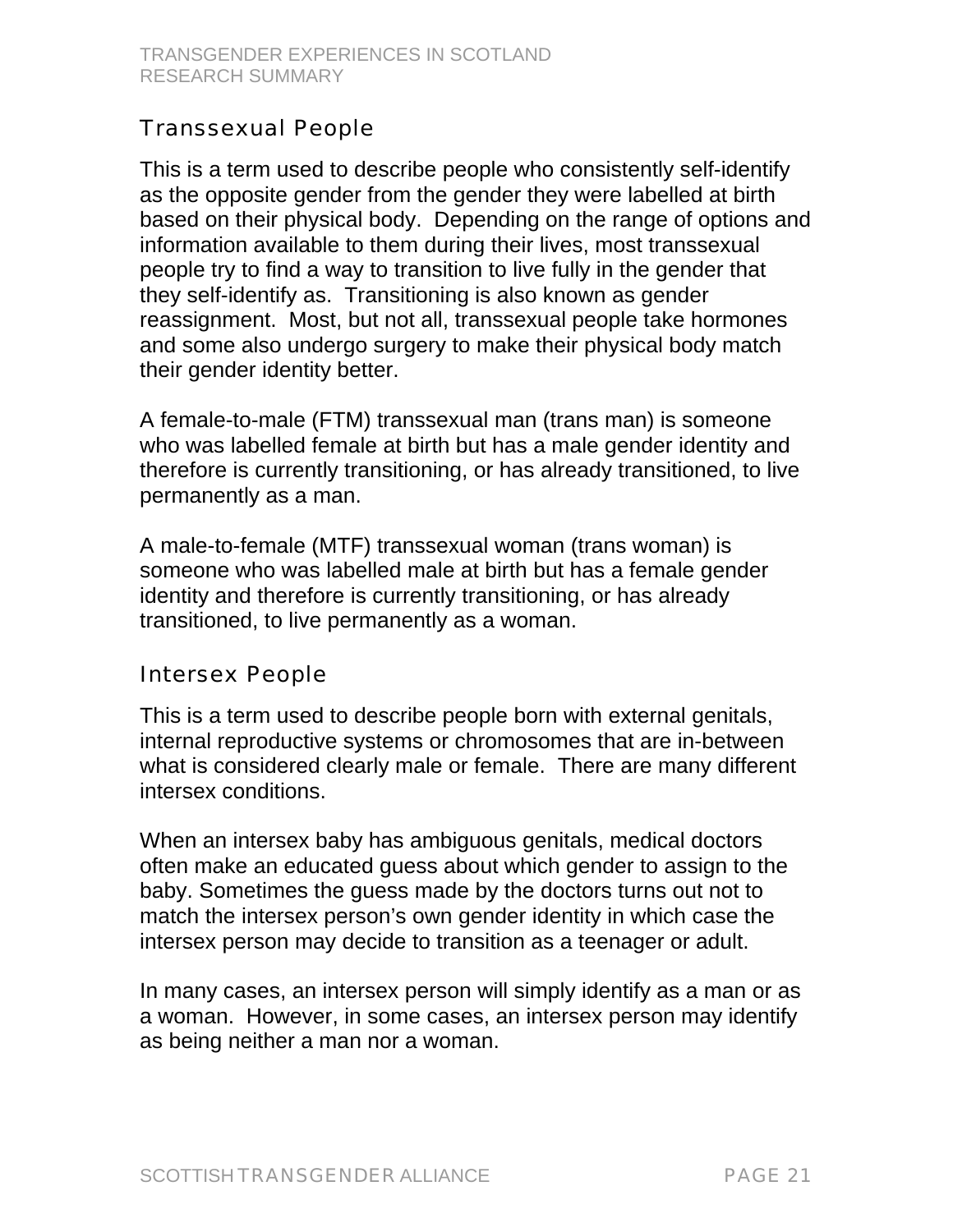### Transsexual People

This is a term used to describe people who consistently self-identify as the opposite gender from the gender they were labelled at birth based on their physical body. Depending on the range of options and information available to them during their lives, most transsexual people try to find a way to transition to live fully in the gender that they self-identify as. Transitioning is also known as gender reassignment. Most, but not all, transsexual people take hormones and some also undergo surgery to make their physical body match their gender identity better.

A female-to-male (FTM) transsexual man (trans man) is someone who was labelled female at birth but has a male gender identity and therefore is currently transitioning, or has already transitioned, to live permanently as a man.

A male-to-female (MTF) transsexual woman (trans woman) is someone who was labelled male at birth but has a female gender identity and therefore is currently transitioning, or has already transitioned, to live permanently as a woman.

### Intersex People

This is a term used to describe people born with external genitals, internal reproductive systems or chromosomes that are in-between what is considered clearly male or female. There are many different intersex conditions.

When an intersex baby has ambiguous genitals, medical doctors often make an educated guess about which gender to assign to the baby. Sometimes the guess made by the doctors turns out not to match the intersex person's own gender identity in which case the intersex person may decide to transition as a teenager or adult.

In many cases, an intersex person will simply identify as a man or as a woman. However, in some cases, an intersex person may identify as being neither a man nor a woman.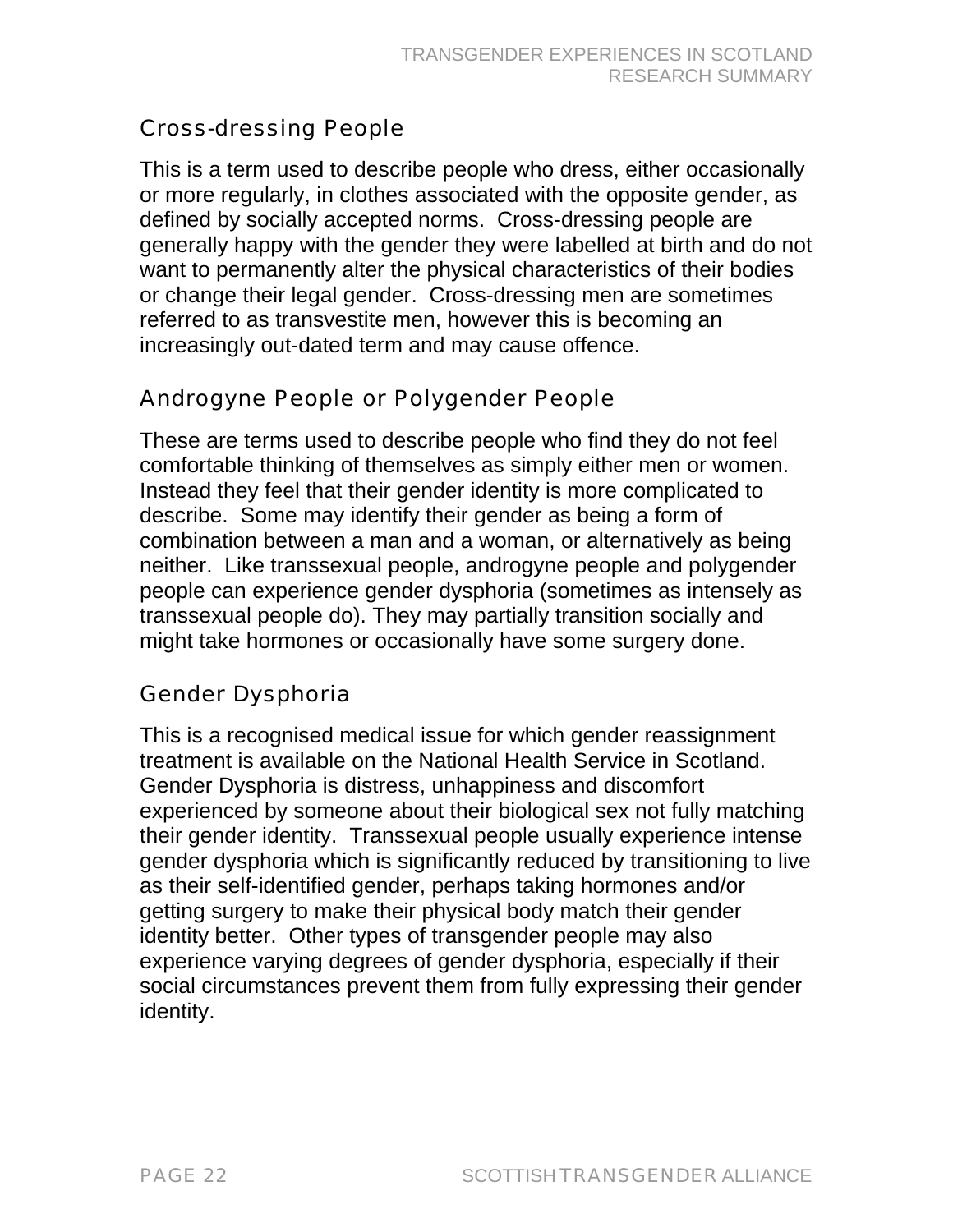### Cross-dressing People

This is a term used to describe people who dress, either occasionally or more regularly, in clothes associated with the opposite gender, as defined by socially accepted norms. Cross-dressing people are generally happy with the gender they were labelled at birth and do not want to permanently alter the physical characteristics of their bodies or change their legal gender. Cross-dressing men are sometimes referred to as transvestite men, however this is becoming an increasingly out-dated term and may cause offence.

### Androgyne People or Polygender People

These are terms used to describe people who find they do not feel comfortable thinking of themselves as simply either men or women. Instead they feel that their gender identity is more complicated to describe. Some may identify their gender as being a form of combination between a man and a woman, or alternatively as being neither. Like transsexual people, androgyne people and polygender people can experience gender dysphoria (sometimes as intensely as transsexual people do). They may partially transition socially and might take hormones or occasionally have some surgery done.

### Gender Dysphoria

This is a recognised medical issue for which gender reassignment treatment is available on the National Health Service in Scotland. Gender Dysphoria is distress, unhappiness and discomfort experienced by someone about their biological sex not fully matching their gender identity. Transsexual people usually experience intense gender dysphoria which is significantly reduced by transitioning to live as their self-identified gender, perhaps taking hormones and/or getting surgery to make their physical body match their gender identity better. Other types of transgender people may also experience varying degrees of gender dysphoria, especially if their social circumstances prevent them from fully expressing their gender identity.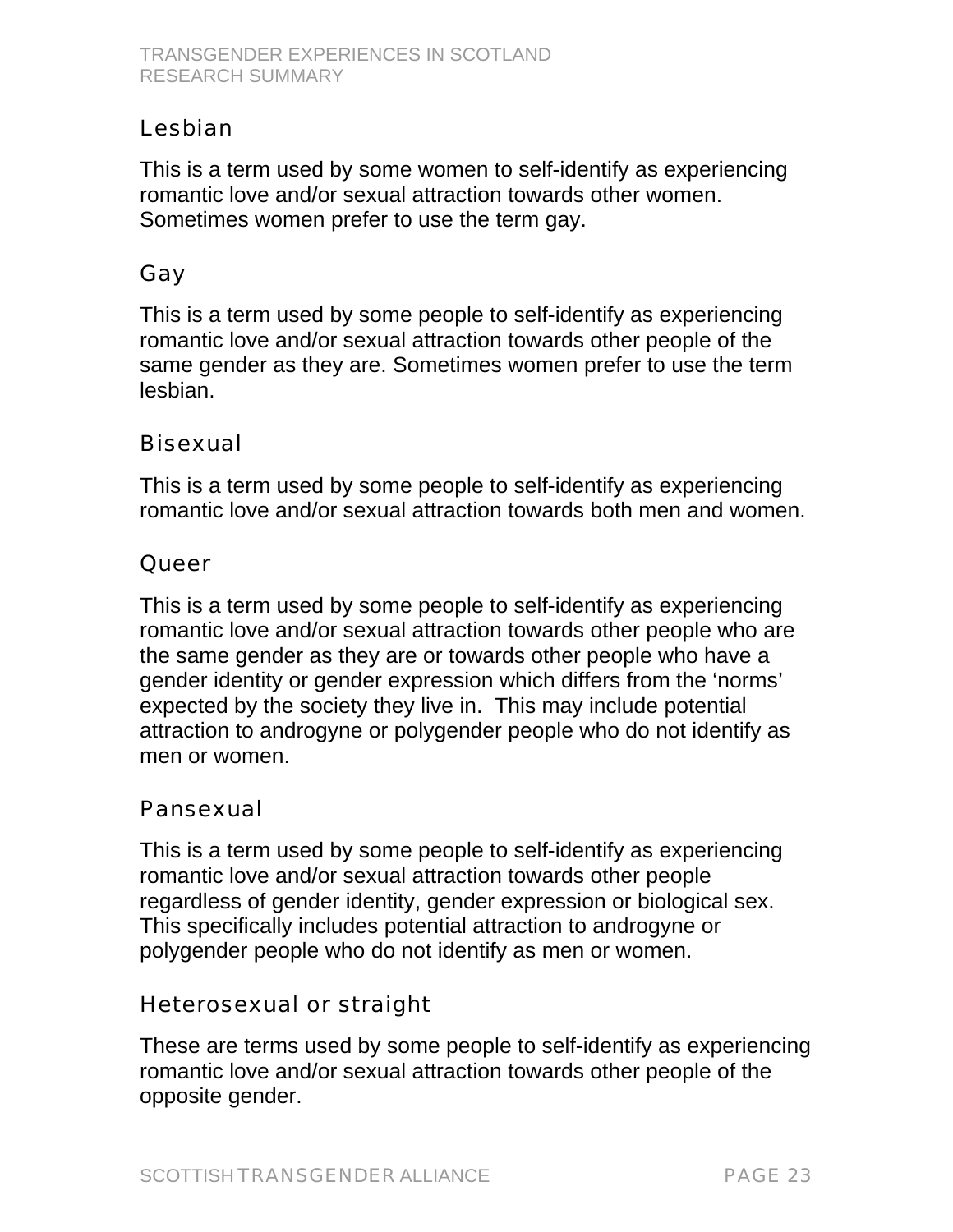### Lesbian

This is a term used by some women to self-identify as experiencing romantic love and/or sexual attraction towards other women. Sometimes women prefer to use the term gay.

### Gay

This is a term used by some people to self-identify as experiencing romantic love and/or sexual attraction towards other people of the same gender as they are. Sometimes women prefer to use the term lesbian.

### Bisexual

This is a term used by some people to self-identify as experiencing romantic love and/or sexual attraction towards both men and women.

### **Queer**

This is a term used by some people to self-identify as experiencing romantic love and/or sexual attraction towards other people who are the same gender as they are or towards other people who have a gender identity or gender expression which differs from the 'norms' expected by the society they live in. This may include potential attraction to androgyne or polygender people who do not identify as men or women.

### Pansexual

This is a term used by some people to self-identify as experiencing romantic love and/or sexual attraction towards other people regardless of gender identity, gender expression or biological sex. This specifically includes potential attraction to androgyne or polygender people who do not identify as men or women.

### Heterosexual or straight

These are terms used by some people to self-identify as experiencing romantic love and/or sexual attraction towards other people of the opposite gender.